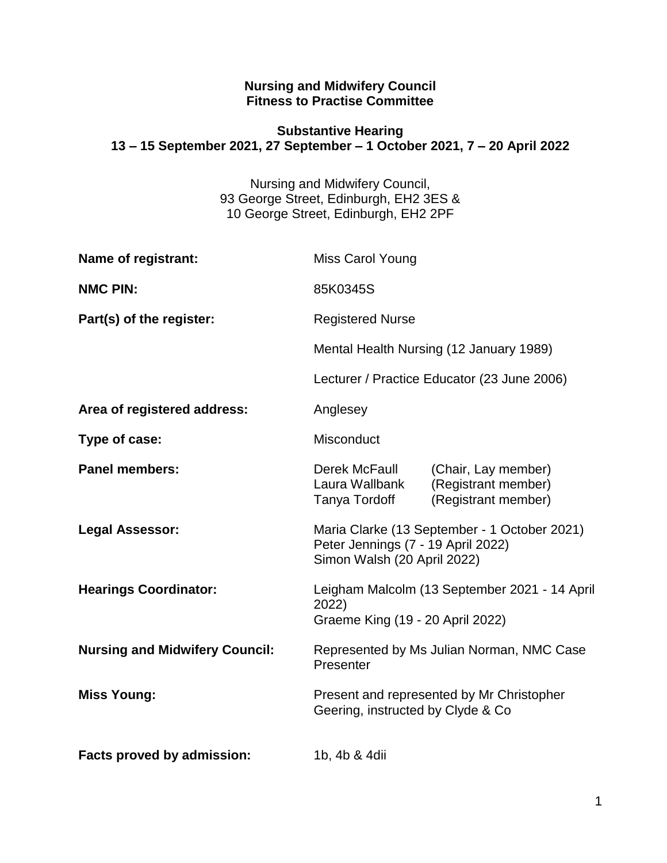#### **Nursing and Midwifery Council Fitness to Practise Committee**

#### **Substantive Hearing 13 – 15 September 2021, 27 September – 1 October 2021, 7 – 20 April 2022**

Nursing and Midwifery Council, 93 George Street, Edinburgh, EH2 3ES & 10 George Street, Edinburgh, EH2 2PF

| Name of registrant:                   | Miss Carol Young                                                                                                  |                                                                   |
|---------------------------------------|-------------------------------------------------------------------------------------------------------------------|-------------------------------------------------------------------|
| <b>NMC PIN:</b>                       | 85K0345S                                                                                                          |                                                                   |
| Part(s) of the register:              | <b>Registered Nurse</b><br>Mental Health Nursing (12 January 1989)<br>Lecturer / Practice Educator (23 June 2006) |                                                                   |
|                                       |                                                                                                                   |                                                                   |
|                                       |                                                                                                                   |                                                                   |
| Area of registered address:           | Anglesey                                                                                                          |                                                                   |
| Type of case:                         | Misconduct                                                                                                        |                                                                   |
| <b>Panel members:</b>                 | Derek McFaull<br>Laura Wallbank<br>Tanya Tordoff                                                                  | (Chair, Lay member)<br>(Registrant member)<br>(Registrant member) |
| <b>Legal Assessor:</b>                | Maria Clarke (13 September - 1 October 2021)<br>Peter Jennings (7 - 19 April 2022)<br>Simon Walsh (20 April 2022) |                                                                   |
| <b>Hearings Coordinator:</b>          | Leigham Malcolm (13 September 2021 - 14 April<br>2022)<br>Graeme King (19 - 20 April 2022)                        |                                                                   |
| <b>Nursing and Midwifery Council:</b> | Represented by Ms Julian Norman, NMC Case<br>Presenter                                                            |                                                                   |
| <b>Miss Young:</b>                    | Present and represented by Mr Christopher<br>Geering, instructed by Clyde & Co                                    |                                                                   |
| Facts proved by admission:            | 1b, 4b & 4dii                                                                                                     |                                                                   |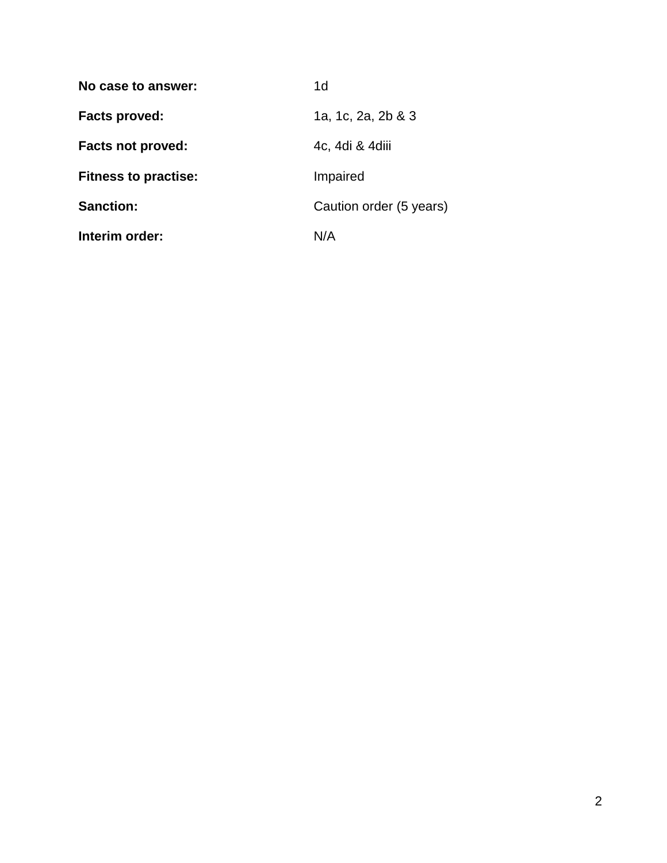| No case to answer:          | 1 <sub>d</sub>          |  |
|-----------------------------|-------------------------|--|
| Facts proved:               | 1a, 1c, 2a, 2b & 3      |  |
| <b>Facts not proved:</b>    | 4c, 4di & 4diii         |  |
| <b>Fitness to practise:</b> | Impaired                |  |
| <b>Sanction:</b>            | Caution order (5 years) |  |
| Interim order:              | N/A                     |  |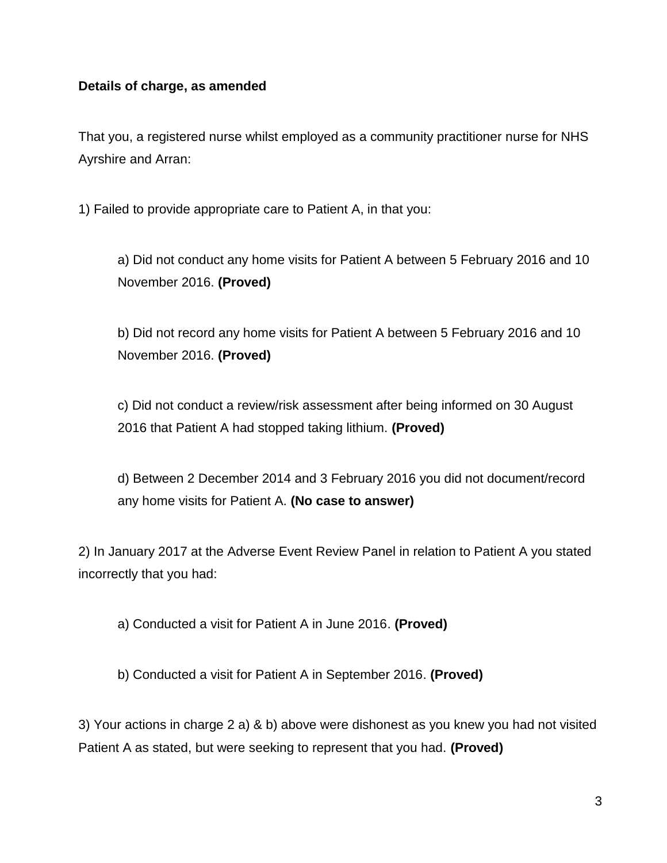#### **Details of charge, as amended**

That you, a registered nurse whilst employed as a community practitioner nurse for NHS Ayrshire and Arran:

1) Failed to provide appropriate care to Patient A, in that you:

a) Did not conduct any home visits for Patient A between 5 February 2016 and 10 November 2016. **(Proved)**

b) Did not record any home visits for Patient A between 5 February 2016 and 10 November 2016. **(Proved)**

c) Did not conduct a review/risk assessment after being informed on 30 August 2016 that Patient A had stopped taking lithium. **(Proved)**

d) Between 2 December 2014 and 3 February 2016 you did not document/record any home visits for Patient A. **(No case to answer)**

2) In January 2017 at the Adverse Event Review Panel in relation to Patient A you stated incorrectly that you had:

a) Conducted a visit for Patient A in June 2016. **(Proved)**

b) Conducted a visit for Patient A in September 2016. **(Proved)**

3) Your actions in charge 2 a) & b) above were dishonest as you knew you had not visited Patient A as stated, but were seeking to represent that you had. **(Proved)**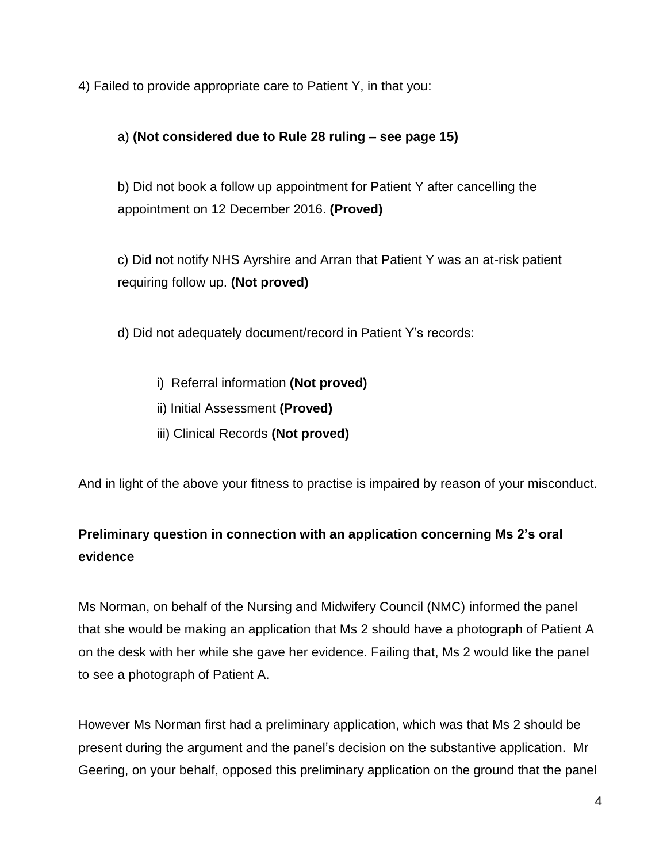4) Failed to provide appropriate care to Patient Y, in that you:

### a) **(Not considered due to Rule 28 ruling – see page 15)**

b) Did not book a follow up appointment for Patient Y after cancelling the appointment on 12 December 2016. **(Proved)**

c) Did not notify NHS Ayrshire and Arran that Patient Y was an at-risk patient requiring follow up. **(Not proved)**

d) Did not adequately document/record in Patient Y's records:

- i) Referral information **(Not proved)**
- ii) Initial Assessment **(Proved)**
- iii) Clinical Records **(Not proved)**

And in light of the above your fitness to practise is impaired by reason of your misconduct.

# **Preliminary question in connection with an application concerning Ms 2's oral evidence**

Ms Norman, on behalf of the Nursing and Midwifery Council (NMC) informed the panel that she would be making an application that Ms 2 should have a photograph of Patient A on the desk with her while she gave her evidence. Failing that, Ms 2 would like the panel to see a photograph of Patient A.

However Ms Norman first had a preliminary application, which was that Ms 2 should be present during the argument and the panel's decision on the substantive application. Mr Geering, on your behalf, opposed this preliminary application on the ground that the panel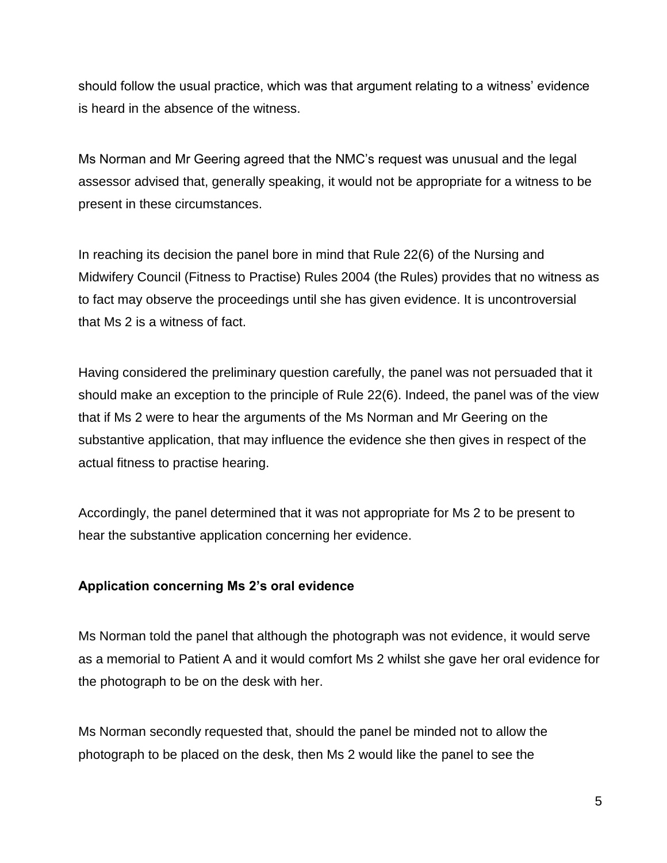should follow the usual practice, which was that argument relating to a witness' evidence is heard in the absence of the witness.

Ms Norman and Mr Geering agreed that the NMC's request was unusual and the legal assessor advised that, generally speaking, it would not be appropriate for a witness to be present in these circumstances.

In reaching its decision the panel bore in mind that Rule 22(6) of the Nursing and Midwifery Council (Fitness to Practise) Rules 2004 (the Rules) provides that no witness as to fact may observe the proceedings until she has given evidence. It is uncontroversial that Ms 2 is a witness of fact.

Having considered the preliminary question carefully, the panel was not persuaded that it should make an exception to the principle of Rule 22(6). Indeed, the panel was of the view that if Ms 2 were to hear the arguments of the Ms Norman and Mr Geering on the substantive application, that may influence the evidence she then gives in respect of the actual fitness to practise hearing.

Accordingly, the panel determined that it was not appropriate for Ms 2 to be present to hear the substantive application concerning her evidence.

### **Application concerning Ms 2's oral evidence**

Ms Norman told the panel that although the photograph was not evidence, it would serve as a memorial to Patient A and it would comfort Ms 2 whilst she gave her oral evidence for the photograph to be on the desk with her.

Ms Norman secondly requested that, should the panel be minded not to allow the photograph to be placed on the desk, then Ms 2 would like the panel to see the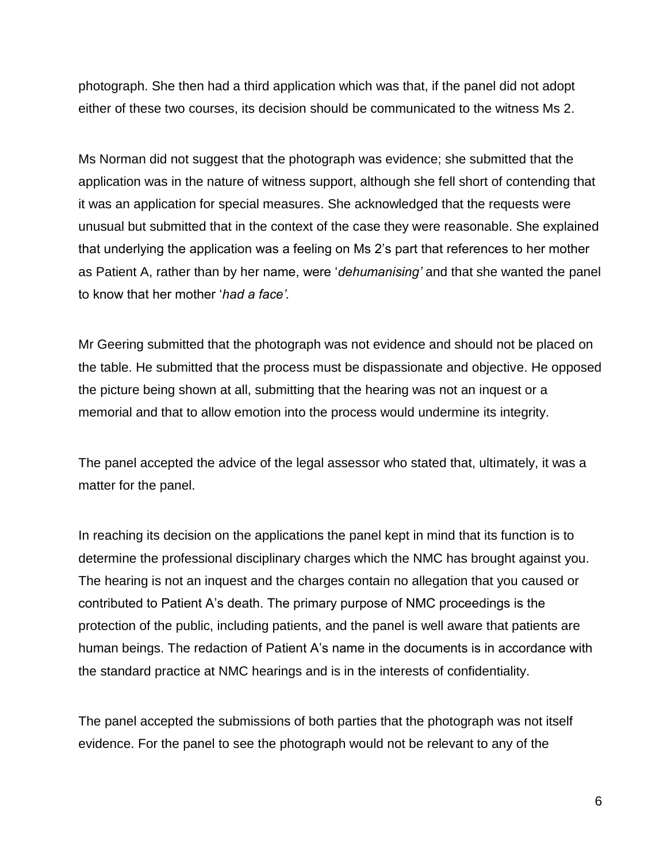photograph. She then had a third application which was that, if the panel did not adopt either of these two courses, its decision should be communicated to the witness Ms 2.

Ms Norman did not suggest that the photograph was evidence; she submitted that the application was in the nature of witness support, although she fell short of contending that it was an application for special measures. She acknowledged that the requests were unusual but submitted that in the context of the case they were reasonable. She explained that underlying the application was a feeling on Ms 2's part that references to her mother as Patient A, rather than by her name, were '*dehumanising'* and that she wanted the panel to know that her mother '*had a face'.*

Mr Geering submitted that the photograph was not evidence and should not be placed on the table. He submitted that the process must be dispassionate and objective. He opposed the picture being shown at all, submitting that the hearing was not an inquest or a memorial and that to allow emotion into the process would undermine its integrity.

The panel accepted the advice of the legal assessor who stated that, ultimately, it was a matter for the panel.

In reaching its decision on the applications the panel kept in mind that its function is to determine the professional disciplinary charges which the NMC has brought against you. The hearing is not an inquest and the charges contain no allegation that you caused or contributed to Patient A's death. The primary purpose of NMC proceedings is the protection of the public, including patients, and the panel is well aware that patients are human beings. The redaction of Patient A's name in the documents is in accordance with the standard practice at NMC hearings and is in the interests of confidentiality.

The panel accepted the submissions of both parties that the photograph was not itself evidence. For the panel to see the photograph would not be relevant to any of the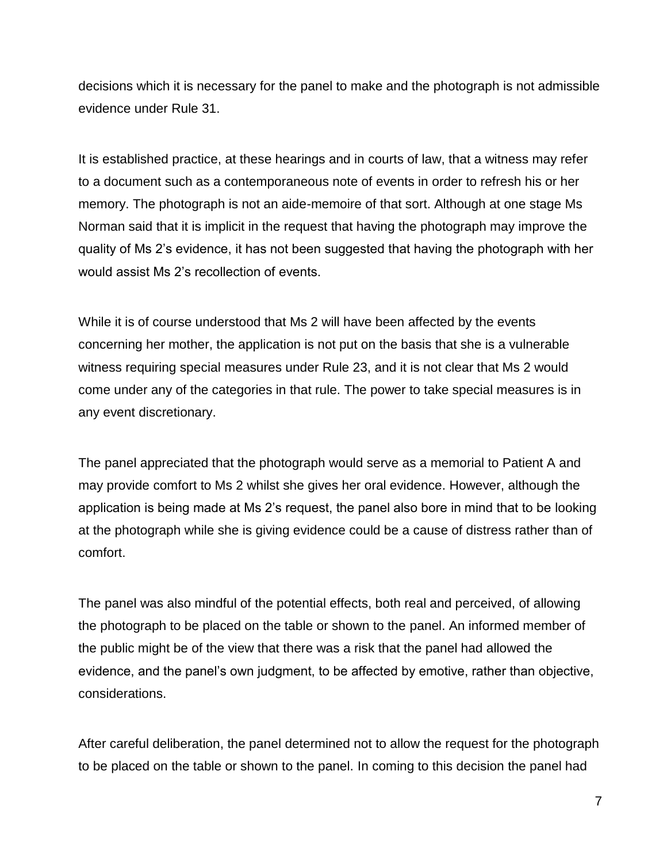decisions which it is necessary for the panel to make and the photograph is not admissible evidence under Rule 31.

It is established practice, at these hearings and in courts of law, that a witness may refer to a document such as a contemporaneous note of events in order to refresh his or her memory. The photograph is not an aide-memoire of that sort. Although at one stage Ms Norman said that it is implicit in the request that having the photograph may improve the quality of Ms 2's evidence, it has not been suggested that having the photograph with her would assist Ms 2's recollection of events.

While it is of course understood that Ms 2 will have been affected by the events concerning her mother, the application is not put on the basis that she is a vulnerable witness requiring special measures under Rule 23, and it is not clear that Ms 2 would come under any of the categories in that rule. The power to take special measures is in any event discretionary.

The panel appreciated that the photograph would serve as a memorial to Patient A and may provide comfort to Ms 2 whilst she gives her oral evidence. However, although the application is being made at Ms 2's request, the panel also bore in mind that to be looking at the photograph while she is giving evidence could be a cause of distress rather than of comfort.

The panel was also mindful of the potential effects, both real and perceived, of allowing the photograph to be placed on the table or shown to the panel. An informed member of the public might be of the view that there was a risk that the panel had allowed the evidence, and the panel's own judgment, to be affected by emotive, rather than objective, considerations.

After careful deliberation, the panel determined not to allow the request for the photograph to be placed on the table or shown to the panel. In coming to this decision the panel had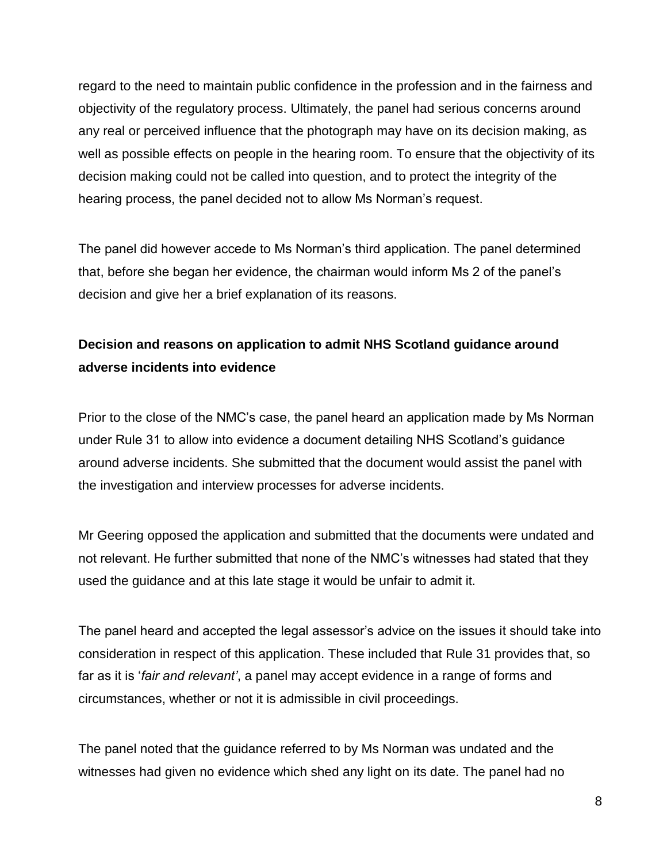regard to the need to maintain public confidence in the profession and in the fairness and objectivity of the regulatory process. Ultimately, the panel had serious concerns around any real or perceived influence that the photograph may have on its decision making, as well as possible effects on people in the hearing room. To ensure that the objectivity of its decision making could not be called into question, and to protect the integrity of the hearing process, the panel decided not to allow Ms Norman's request.

The panel did however accede to Ms Norman's third application. The panel determined that, before she began her evidence, the chairman would inform Ms 2 of the panel's decision and give her a brief explanation of its reasons.

# **Decision and reasons on application to admit NHS Scotland guidance around adverse incidents into evidence**

Prior to the close of the NMC's case, the panel heard an application made by Ms Norman under Rule 31 to allow into evidence a document detailing NHS Scotland's guidance around adverse incidents. She submitted that the document would assist the panel with the investigation and interview processes for adverse incidents.

Mr Geering opposed the application and submitted that the documents were undated and not relevant. He further submitted that none of the NMC's witnesses had stated that they used the guidance and at this late stage it would be unfair to admit it.

The panel heard and accepted the legal assessor's advice on the issues it should take into consideration in respect of this application. These included that Rule 31 provides that, so far as it is '*fair and relevant'*, a panel may accept evidence in a range of forms and circumstances, whether or not it is admissible in civil proceedings.

The panel noted that the guidance referred to by Ms Norman was undated and the witnesses had given no evidence which shed any light on its date. The panel had no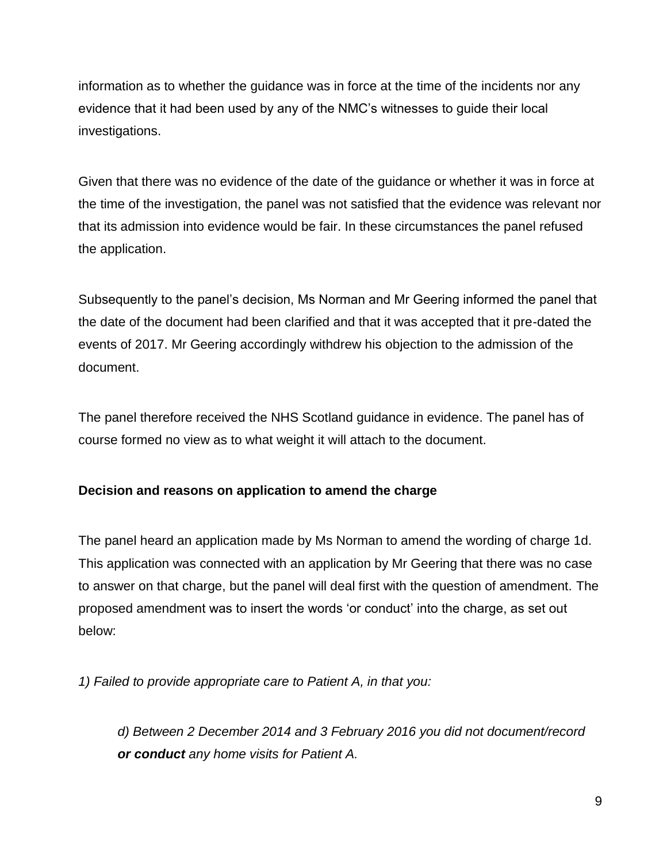information as to whether the guidance was in force at the time of the incidents nor any evidence that it had been used by any of the NMC's witnesses to guide their local investigations.

Given that there was no evidence of the date of the guidance or whether it was in force at the time of the investigation, the panel was not satisfied that the evidence was relevant nor that its admission into evidence would be fair. In these circumstances the panel refused the application.

Subsequently to the panel's decision, Ms Norman and Mr Geering informed the panel that the date of the document had been clarified and that it was accepted that it pre-dated the events of 2017. Mr Geering accordingly withdrew his objection to the admission of the document.

The panel therefore received the NHS Scotland guidance in evidence. The panel has of course formed no view as to what weight it will attach to the document.

### **Decision and reasons on application to amend the charge**

The panel heard an application made by Ms Norman to amend the wording of charge 1d. This application was connected with an application by Mr Geering that there was no case to answer on that charge, but the panel will deal first with the question of amendment. The proposed amendment was to insert the words 'or conduct' into the charge, as set out below:

*1) Failed to provide appropriate care to Patient A, in that you:*

*d) Between 2 December 2014 and 3 February 2016 you did not document/record or conduct any home visits for Patient A.*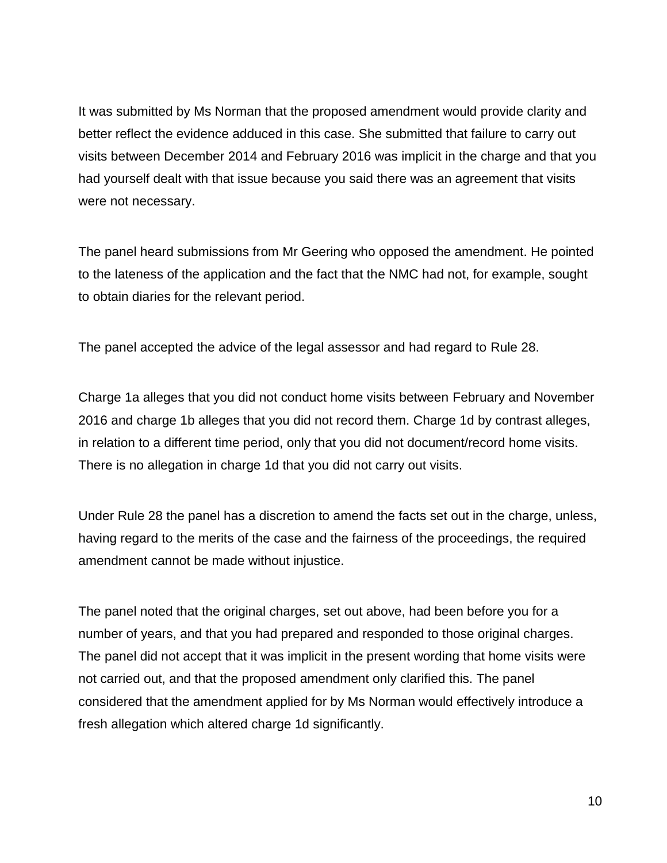It was submitted by Ms Norman that the proposed amendment would provide clarity and better reflect the evidence adduced in this case. She submitted that failure to carry out visits between December 2014 and February 2016 was implicit in the charge and that you had yourself dealt with that issue because you said there was an agreement that visits were not necessary.

The panel heard submissions from Mr Geering who opposed the amendment. He pointed to the lateness of the application and the fact that the NMC had not, for example, sought to obtain diaries for the relevant period.

The panel accepted the advice of the legal assessor and had regard to Rule 28.

Charge 1a alleges that you did not conduct home visits between February and November 2016 and charge 1b alleges that you did not record them. Charge 1d by contrast alleges, in relation to a different time period, only that you did not document/record home visits. There is no allegation in charge 1d that you did not carry out visits.

Under Rule 28 the panel has a discretion to amend the facts set out in the charge, unless, having regard to the merits of the case and the fairness of the proceedings, the required amendment cannot be made without injustice.

The panel noted that the original charges, set out above, had been before you for a number of years, and that you had prepared and responded to those original charges. The panel did not accept that it was implicit in the present wording that home visits were not carried out, and that the proposed amendment only clarified this. The panel considered that the amendment applied for by Ms Norman would effectively introduce a fresh allegation which altered charge 1d significantly.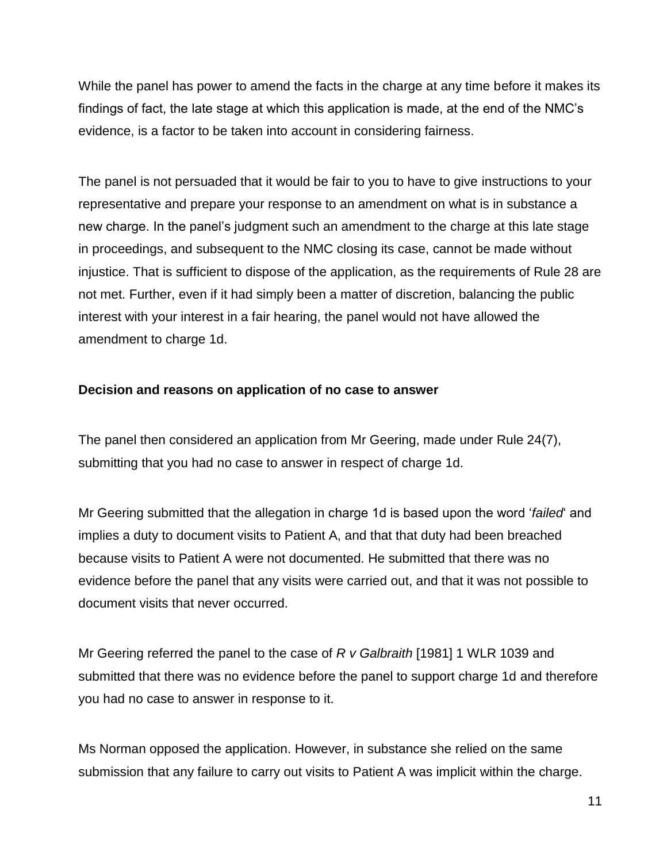While the panel has power to amend the facts in the charge at any time before it makes its findings of fact, the late stage at which this application is made, at the end of the NMC's evidence, is a factor to be taken into account in considering fairness.

The panel is not persuaded that it would be fair to you to have to give instructions to your representative and prepare your response to an amendment on what is in substance a new charge. In the panel's judgment such an amendment to the charge at this late stage in proceedings, and subsequent to the NMC closing its case, cannot be made without injustice. That is sufficient to dispose of the application, as the requirements of Rule 28 are not met. Further, even if it had simply been a matter of discretion, balancing the public interest with your interest in a fair hearing, the panel would not have allowed the amendment to charge 1d.

#### **Decision and reasons on application of no case to answer**

The panel then considered an application from Mr Geering, made under Rule 24(7), submitting that you had no case to answer in respect of charge 1d.

Mr Geering submitted that the allegation in charge 1d is based upon the word '*failed*' and implies a duty to document visits to Patient A, and that that duty had been breached because visits to Patient A were not documented. He submitted that there was no evidence before the panel that any visits were carried out, and that it was not possible to document visits that never occurred.

Mr Geering referred the panel to the case of *R v Galbraith* [1981] 1 WLR 1039 and submitted that there was no evidence before the panel to support charge 1d and therefore you had no case to answer in response to it.

Ms Norman opposed the application. However, in substance she relied on the same submission that any failure to carry out visits to Patient A was implicit within the charge.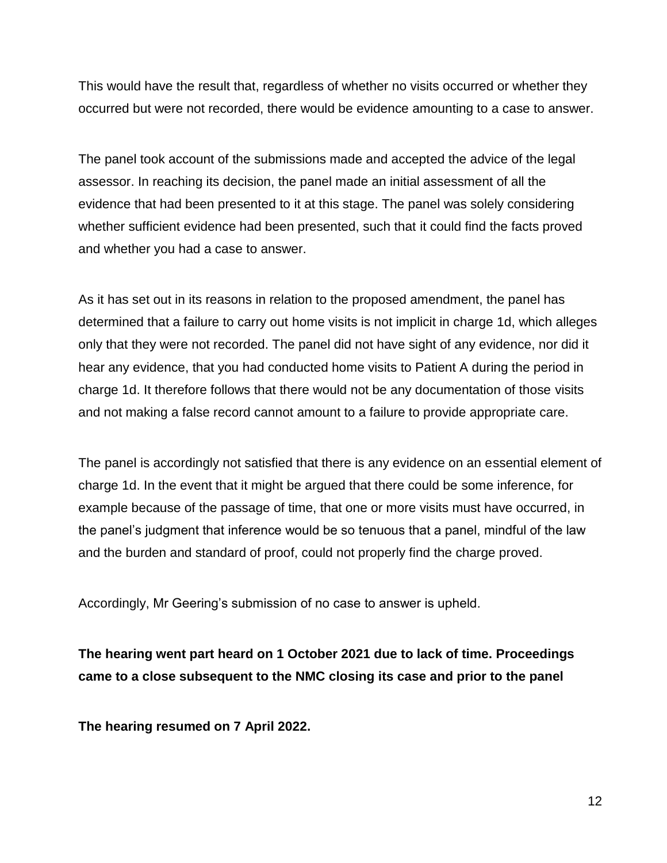This would have the result that, regardless of whether no visits occurred or whether they occurred but were not recorded, there would be evidence amounting to a case to answer.

The panel took account of the submissions made and accepted the advice of the legal assessor. In reaching its decision, the panel made an initial assessment of all the evidence that had been presented to it at this stage. The panel was solely considering whether sufficient evidence had been presented, such that it could find the facts proved and whether you had a case to answer.

As it has set out in its reasons in relation to the proposed amendment, the panel has determined that a failure to carry out home visits is not implicit in charge 1d, which alleges only that they were not recorded. The panel did not have sight of any evidence, nor did it hear any evidence, that you had conducted home visits to Patient A during the period in charge 1d. It therefore follows that there would not be any documentation of those visits and not making a false record cannot amount to a failure to provide appropriate care.

The panel is accordingly not satisfied that there is any evidence on an essential element of charge 1d. In the event that it might be argued that there could be some inference, for example because of the passage of time, that one or more visits must have occurred, in the panel's judgment that inference would be so tenuous that a panel, mindful of the law and the burden and standard of proof, could not properly find the charge proved.

Accordingly, Mr Geering's submission of no case to answer is upheld.

**The hearing went part heard on 1 October 2021 due to lack of time. Proceedings came to a close subsequent to the NMC closing its case and prior to the panel**

**The hearing resumed on 7 April 2022.**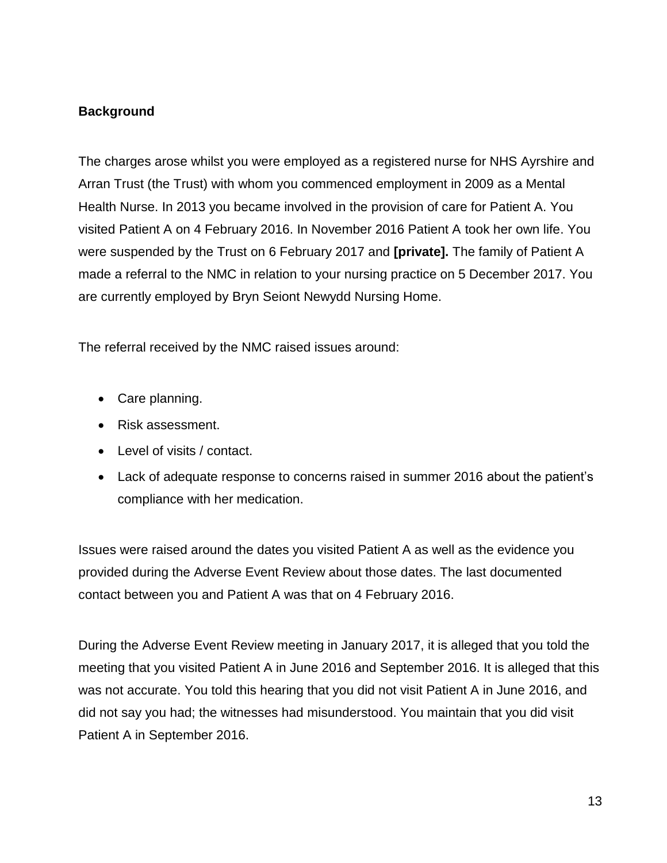## **Background**

The charges arose whilst you were employed as a registered nurse for NHS Ayrshire and Arran Trust (the Trust) with whom you commenced employment in 2009 as a Mental Health Nurse. In 2013 you became involved in the provision of care for Patient A. You visited Patient A on 4 February 2016. In November 2016 Patient A took her own life. You were suspended by the Trust on 6 February 2017 and **[private].** The family of Patient A made a referral to the NMC in relation to your nursing practice on 5 December 2017. You are currently employed by Bryn Seiont Newydd Nursing Home.

The referral received by the NMC raised issues around:

- Care planning.
- Risk assessment.
- Level of visits / contact.
- Lack of adequate response to concerns raised in summer 2016 about the patient's compliance with her medication.

Issues were raised around the dates you visited Patient A as well as the evidence you provided during the Adverse Event Review about those dates. The last documented contact between you and Patient A was that on 4 February 2016.

During the Adverse Event Review meeting in January 2017, it is alleged that you told the meeting that you visited Patient A in June 2016 and September 2016. It is alleged that this was not accurate. You told this hearing that you did not visit Patient A in June 2016, and did not say you had; the witnesses had misunderstood. You maintain that you did visit Patient A in September 2016.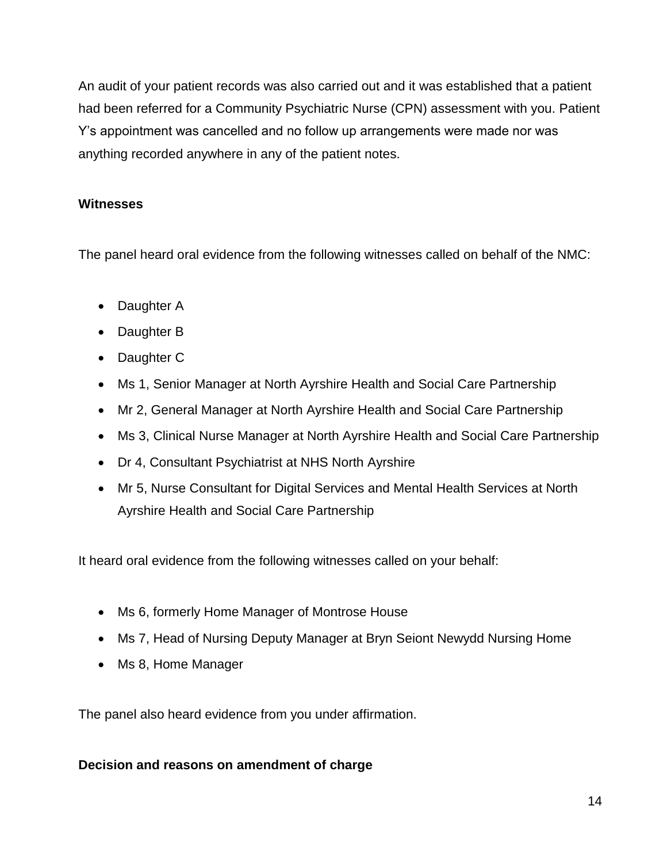An audit of your patient records was also carried out and it was established that a patient had been referred for a Community Psychiatric Nurse (CPN) assessment with you. Patient Y's appointment was cancelled and no follow up arrangements were made nor was anything recorded anywhere in any of the patient notes.

## **Witnesses**

The panel heard oral evidence from the following witnesses called on behalf of the NMC:

- Daughter A
- Daughter B
- Daughter C
- Ms 1, Senior Manager at North Ayrshire Health and Social Care Partnership
- Mr 2, General Manager at North Ayrshire Health and Social Care Partnership
- Ms 3, Clinical Nurse Manager at North Ayrshire Health and Social Care Partnership
- Dr 4, Consultant Psychiatrist at NHS North Ayrshire
- Mr 5, Nurse Consultant for Digital Services and Mental Health Services at North Ayrshire Health and Social Care Partnership

It heard oral evidence from the following witnesses called on your behalf:

- Ms 6, formerly Home Manager of Montrose House
- Ms 7, Head of Nursing Deputy Manager at Bryn Seiont Newydd Nursing Home
- Ms 8, Home Manager

The panel also heard evidence from you under affirmation.

#### **Decision and reasons on amendment of charge**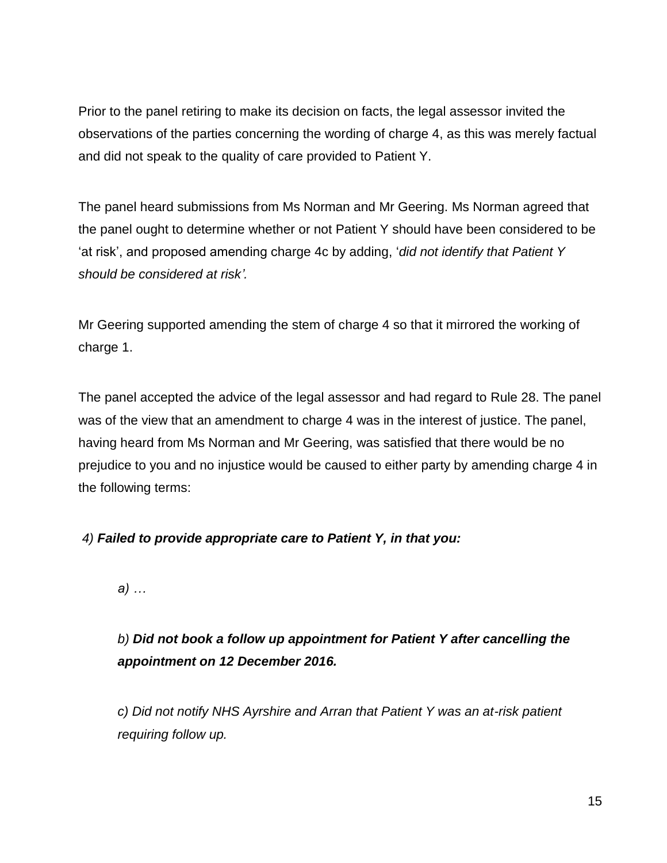Prior to the panel retiring to make its decision on facts, the legal assessor invited the observations of the parties concerning the wording of charge 4, as this was merely factual and did not speak to the quality of care provided to Patient Y.

The panel heard submissions from Ms Norman and Mr Geering. Ms Norman agreed that the panel ought to determine whether or not Patient Y should have been considered to be 'at risk', and proposed amending charge 4c by adding, '*did not identify that Patient Y should be considered at risk'.* 

Mr Geering supported amending the stem of charge 4 so that it mirrored the working of charge 1.

The panel accepted the advice of the legal assessor and had regard to Rule 28. The panel was of the view that an amendment to charge 4 was in the interest of justice. The panel, having heard from Ms Norman and Mr Geering, was satisfied that there would be no prejudice to you and no injustice would be caused to either party by amending charge 4 in the following terms:

*4) Failed to provide appropriate care to Patient Y, in that you:*

*a) …*

*b) Did not book a follow up appointment for Patient Y after cancelling the appointment on 12 December 2016.*

*c) Did not notify NHS Ayrshire and Arran that Patient Y was an at-risk patient requiring follow up.*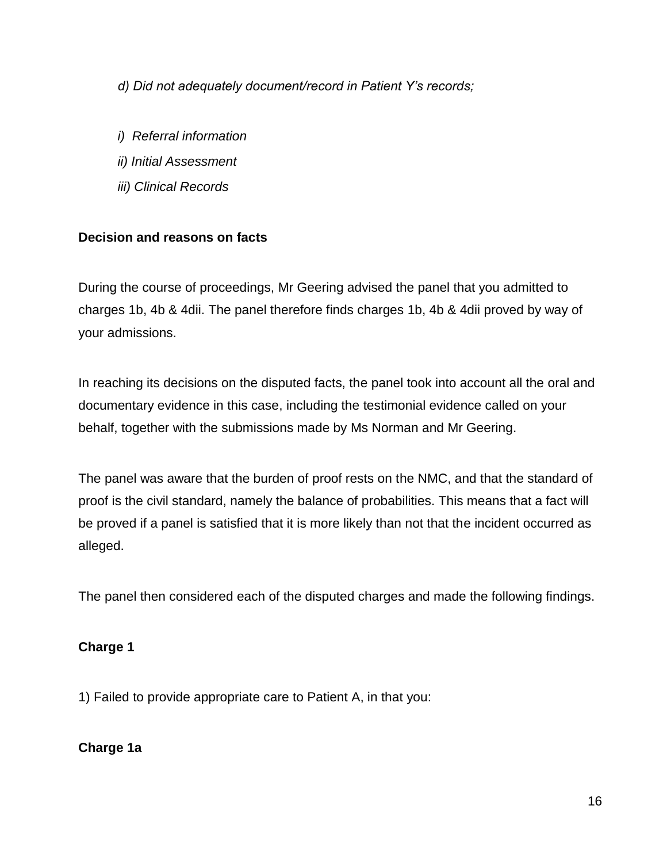*d) Did not adequately document/record in Patient Y's records;*

- *i) Referral information*
- *ii) Initial Assessment*
- *iii) Clinical Records*

## **Decision and reasons on facts**

During the course of proceedings, Mr Geering advised the panel that you admitted to charges 1b, 4b & 4dii. The panel therefore finds charges 1b, 4b & 4dii proved by way of your admissions.

In reaching its decisions on the disputed facts, the panel took into account all the oral and documentary evidence in this case, including the testimonial evidence called on your behalf, together with the submissions made by Ms Norman and Mr Geering.

The panel was aware that the burden of proof rests on the NMC, and that the standard of proof is the civil standard, namely the balance of probabilities. This means that a fact will be proved if a panel is satisfied that it is more likely than not that the incident occurred as alleged.

The panel then considered each of the disputed charges and made the following findings.

### **Charge 1**

1) Failed to provide appropriate care to Patient A, in that you:

### **Charge 1a**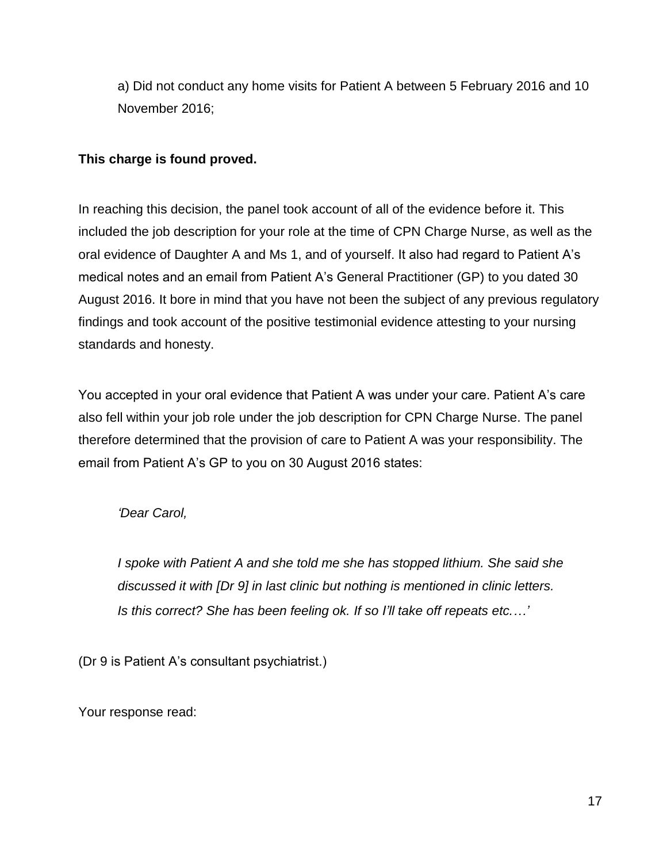a) Did not conduct any home visits for Patient A between 5 February 2016 and 10 November 2016;

## **This charge is found proved.**

In reaching this decision, the panel took account of all of the evidence before it. This included the job description for your role at the time of CPN Charge Nurse, as well as the oral evidence of Daughter A and Ms 1, and of yourself. It also had regard to Patient A's medical notes and an email from Patient A's General Practitioner (GP) to you dated 30 August 2016. It bore in mind that you have not been the subject of any previous regulatory findings and took account of the positive testimonial evidence attesting to your nursing standards and honesty.

You accepted in your oral evidence that Patient A was under your care. Patient A's care also fell within your job role under the job description for CPN Charge Nurse. The panel therefore determined that the provision of care to Patient A was your responsibility. The email from Patient A's GP to you on 30 August 2016 states:

*'Dear Carol,* 

*I spoke with Patient A and she told me she has stopped lithium. She said she discussed it with [Dr 9] in last clinic but nothing is mentioned in clinic letters. Is this correct? She has been feeling ok. If so I'll take off repeats etc.…'*

(Dr 9 is Patient A's consultant psychiatrist.)

Your response read: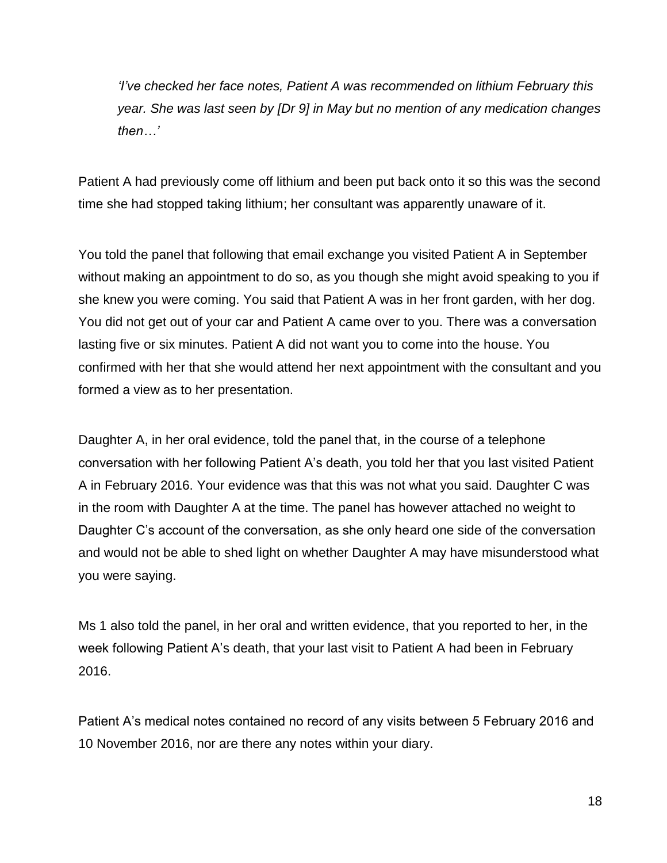*'I've checked her face notes, Patient A was recommended on lithium February this year. She was last seen by [Dr 9] in May but no mention of any medication changes then…'*

Patient A had previously come off lithium and been put back onto it so this was the second time she had stopped taking lithium; her consultant was apparently unaware of it.

You told the panel that following that email exchange you visited Patient A in September without making an appointment to do so, as you though she might avoid speaking to you if she knew you were coming. You said that Patient A was in her front garden, with her dog. You did not get out of your car and Patient A came over to you. There was a conversation lasting five or six minutes. Patient A did not want you to come into the house. You confirmed with her that she would attend her next appointment with the consultant and you formed a view as to her presentation.

Daughter A, in her oral evidence, told the panel that, in the course of a telephone conversation with her following Patient A's death, you told her that you last visited Patient A in February 2016. Your evidence was that this was not what you said. Daughter C was in the room with Daughter A at the time. The panel has however attached no weight to Daughter C's account of the conversation, as she only heard one side of the conversation and would not be able to shed light on whether Daughter A may have misunderstood what you were saying.

Ms 1 also told the panel, in her oral and written evidence, that you reported to her, in the week following Patient A's death, that your last visit to Patient A had been in February 2016.

Patient A's medical notes contained no record of any visits between 5 February 2016 and 10 November 2016, nor are there any notes within your diary.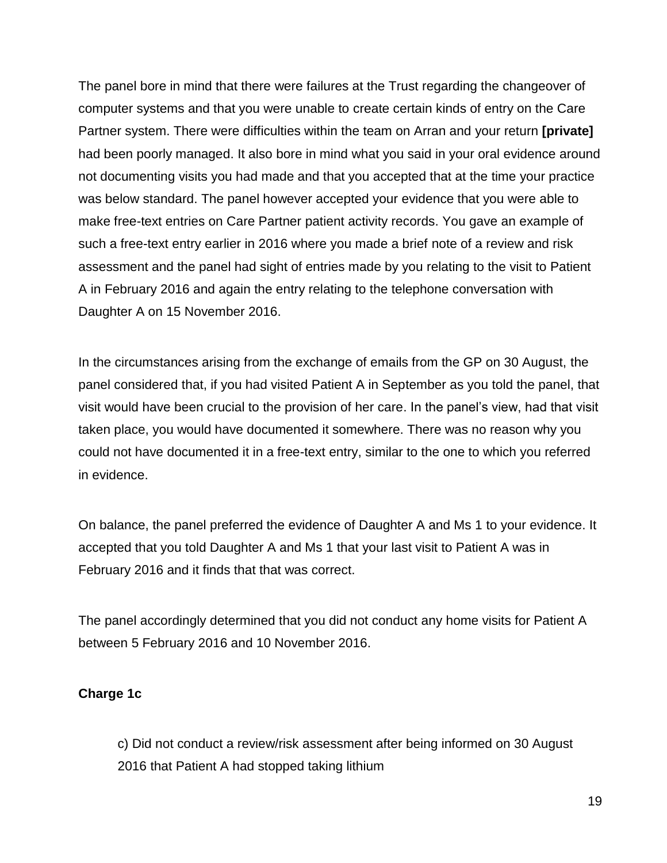The panel bore in mind that there were failures at the Trust regarding the changeover of computer systems and that you were unable to create certain kinds of entry on the Care Partner system. There were difficulties within the team on Arran and your return **[private]** had been poorly managed. It also bore in mind what you said in your oral evidence around not documenting visits you had made and that you accepted that at the time your practice was below standard. The panel however accepted your evidence that you were able to make free-text entries on Care Partner patient activity records. You gave an example of such a free-text entry earlier in 2016 where you made a brief note of a review and risk assessment and the panel had sight of entries made by you relating to the visit to Patient A in February 2016 and again the entry relating to the telephone conversation with Daughter A on 15 November 2016.

In the circumstances arising from the exchange of emails from the GP on 30 August, the panel considered that, if you had visited Patient A in September as you told the panel, that visit would have been crucial to the provision of her care. In the panel's view, had that visit taken place, you would have documented it somewhere. There was no reason why you could not have documented it in a free-text entry, similar to the one to which you referred in evidence.

On balance, the panel preferred the evidence of Daughter A and Ms 1 to your evidence. It accepted that you told Daughter A and Ms 1 that your last visit to Patient A was in February 2016 and it finds that that was correct.

The panel accordingly determined that you did not conduct any home visits for Patient A between 5 February 2016 and 10 November 2016.

### **Charge 1c**

c) Did not conduct a review/risk assessment after being informed on 30 August 2016 that Patient A had stopped taking lithium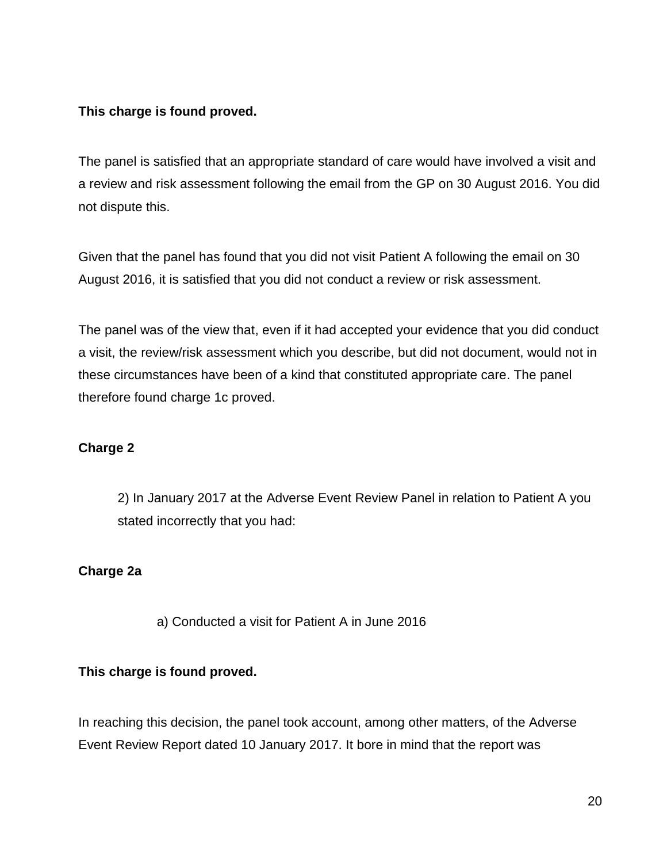### **This charge is found proved.**

The panel is satisfied that an appropriate standard of care would have involved a visit and a review and risk assessment following the email from the GP on 30 August 2016. You did not dispute this.

Given that the panel has found that you did not visit Patient A following the email on 30 August 2016, it is satisfied that you did not conduct a review or risk assessment.

The panel was of the view that, even if it had accepted your evidence that you did conduct a visit, the review/risk assessment which you describe, but did not document, would not in these circumstances have been of a kind that constituted appropriate care. The panel therefore found charge 1c proved.

## **Charge 2**

2) In January 2017 at the Adverse Event Review Panel in relation to Patient A you stated incorrectly that you had:

### **Charge 2a**

a) Conducted a visit for Patient A in June 2016

### **This charge is found proved.**

In reaching this decision, the panel took account, among other matters, of the Adverse Event Review Report dated 10 January 2017. It bore in mind that the report was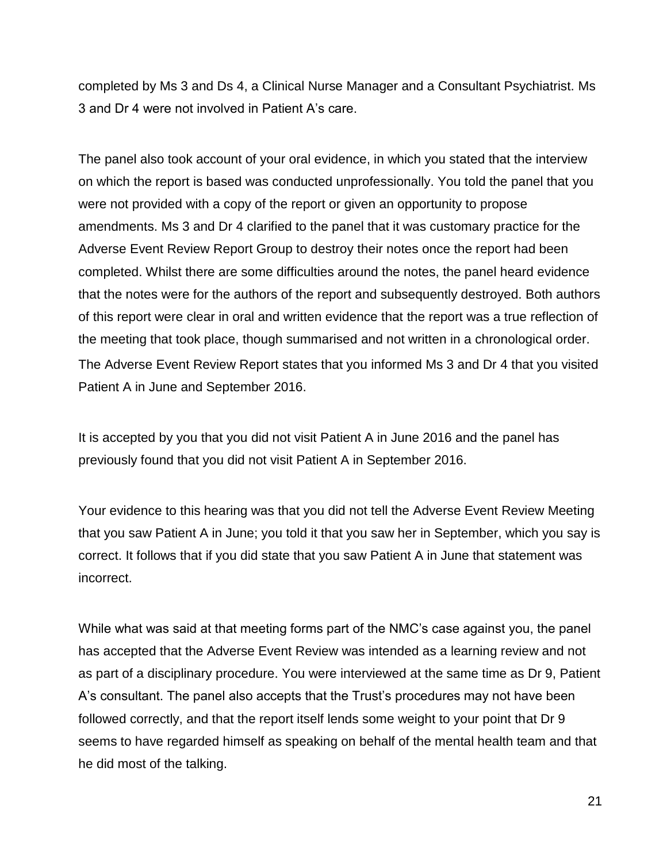completed by Ms 3 and Ds 4, a Clinical Nurse Manager and a Consultant Psychiatrist. Ms 3 and Dr 4 were not involved in Patient A's care.

The panel also took account of your oral evidence, in which you stated that the interview on which the report is based was conducted unprofessionally. You told the panel that you were not provided with a copy of the report or given an opportunity to propose amendments. Ms 3 and Dr 4 clarified to the panel that it was customary practice for the Adverse Event Review Report Group to destroy their notes once the report had been completed. Whilst there are some difficulties around the notes, the panel heard evidence that the notes were for the authors of the report and subsequently destroyed. Both authors of this report were clear in oral and written evidence that the report was a true reflection of the meeting that took place, though summarised and not written in a chronological order. The Adverse Event Review Report states that you informed Ms 3 and Dr 4 that you visited Patient A in June and September 2016.

It is accepted by you that you did not visit Patient A in June 2016 and the panel has previously found that you did not visit Patient A in September 2016.

Your evidence to this hearing was that you did not tell the Adverse Event Review Meeting that you saw Patient A in June; you told it that you saw her in September, which you say is correct. It follows that if you did state that you saw Patient A in June that statement was incorrect.

While what was said at that meeting forms part of the NMC's case against you, the panel has accepted that the Adverse Event Review was intended as a learning review and not as part of a disciplinary procedure. You were interviewed at the same time as Dr 9, Patient A's consultant. The panel also accepts that the Trust's procedures may not have been followed correctly, and that the report itself lends some weight to your point that Dr 9 seems to have regarded himself as speaking on behalf of the mental health team and that he did most of the talking.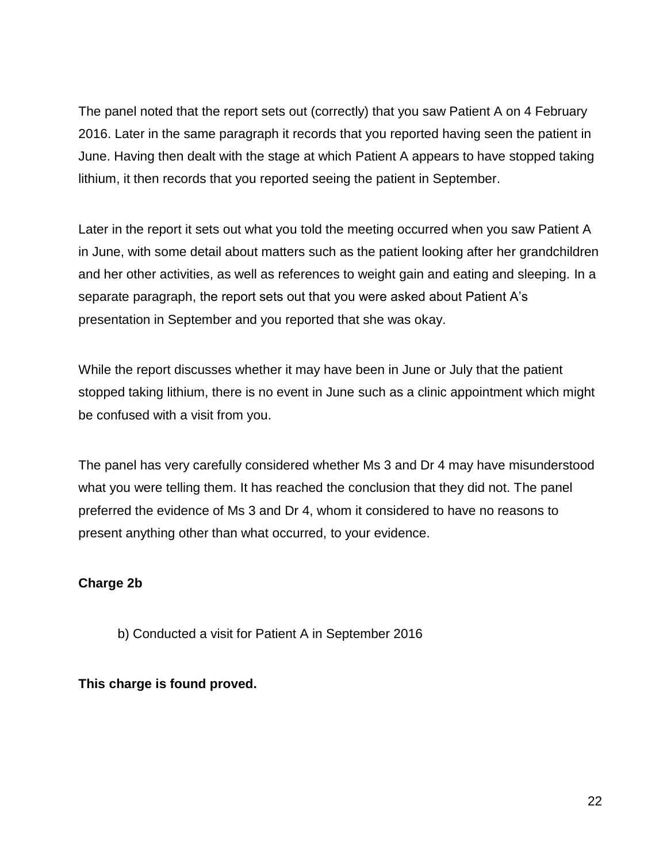The panel noted that the report sets out (correctly) that you saw Patient A on 4 February 2016. Later in the same paragraph it records that you reported having seen the patient in June. Having then dealt with the stage at which Patient A appears to have stopped taking lithium, it then records that you reported seeing the patient in September.

Later in the report it sets out what you told the meeting occurred when you saw Patient A in June, with some detail about matters such as the patient looking after her grandchildren and her other activities, as well as references to weight gain and eating and sleeping. In a separate paragraph, the report sets out that you were asked about Patient A's presentation in September and you reported that she was okay.

While the report discusses whether it may have been in June or July that the patient stopped taking lithium, there is no event in June such as a clinic appointment which might be confused with a visit from you.

The panel has very carefully considered whether Ms 3 and Dr 4 may have misunderstood what you were telling them. It has reached the conclusion that they did not. The panel preferred the evidence of Ms 3 and Dr 4, whom it considered to have no reasons to present anything other than what occurred, to your evidence.

### **Charge 2b**

b) Conducted a visit for Patient A in September 2016

### **This charge is found proved.**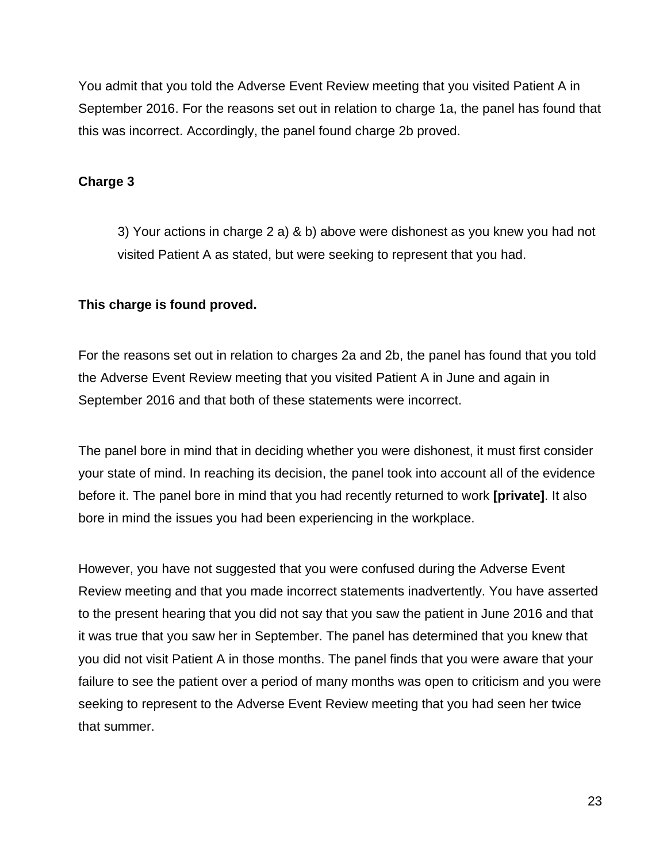You admit that you told the Adverse Event Review meeting that you visited Patient A in September 2016. For the reasons set out in relation to charge 1a, the panel has found that this was incorrect. Accordingly, the panel found charge 2b proved.

## **Charge 3**

3) Your actions in charge 2 a) & b) above were dishonest as you knew you had not visited Patient A as stated, but were seeking to represent that you had.

## **This charge is found proved.**

For the reasons set out in relation to charges 2a and 2b, the panel has found that you told the Adverse Event Review meeting that you visited Patient A in June and again in September 2016 and that both of these statements were incorrect.

The panel bore in mind that in deciding whether you were dishonest, it must first consider your state of mind. In reaching its decision, the panel took into account all of the evidence before it. The panel bore in mind that you had recently returned to work **[private]**. It also bore in mind the issues you had been experiencing in the workplace.

However, you have not suggested that you were confused during the Adverse Event Review meeting and that you made incorrect statements inadvertently. You have asserted to the present hearing that you did not say that you saw the patient in June 2016 and that it was true that you saw her in September. The panel has determined that you knew that you did not visit Patient A in those months. The panel finds that you were aware that your failure to see the patient over a period of many months was open to criticism and you were seeking to represent to the Adverse Event Review meeting that you had seen her twice that summer.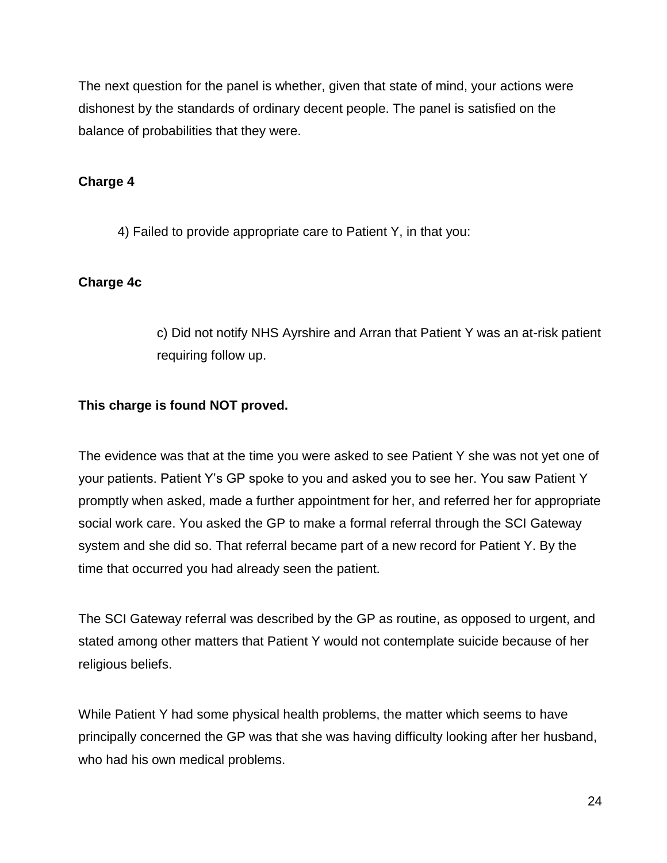The next question for the panel is whether, given that state of mind, your actions were dishonest by the standards of ordinary decent people. The panel is satisfied on the balance of probabilities that they were.

## **Charge 4**

4) Failed to provide appropriate care to Patient Y, in that you:

### **Charge 4c**

c) Did not notify NHS Ayrshire and Arran that Patient Y was an at-risk patient requiring follow up.

### **This charge is found NOT proved.**

The evidence was that at the time you were asked to see Patient Y she was not yet one of your patients. Patient Y's GP spoke to you and asked you to see her. You saw Patient Y promptly when asked, made a further appointment for her, and referred her for appropriate social work care. You asked the GP to make a formal referral through the SCI Gateway system and she did so. That referral became part of a new record for Patient Y. By the time that occurred you had already seen the patient.

The SCI Gateway referral was described by the GP as routine, as opposed to urgent, and stated among other matters that Patient Y would not contemplate suicide because of her religious beliefs.

While Patient Y had some physical health problems, the matter which seems to have principally concerned the GP was that she was having difficulty looking after her husband, who had his own medical problems.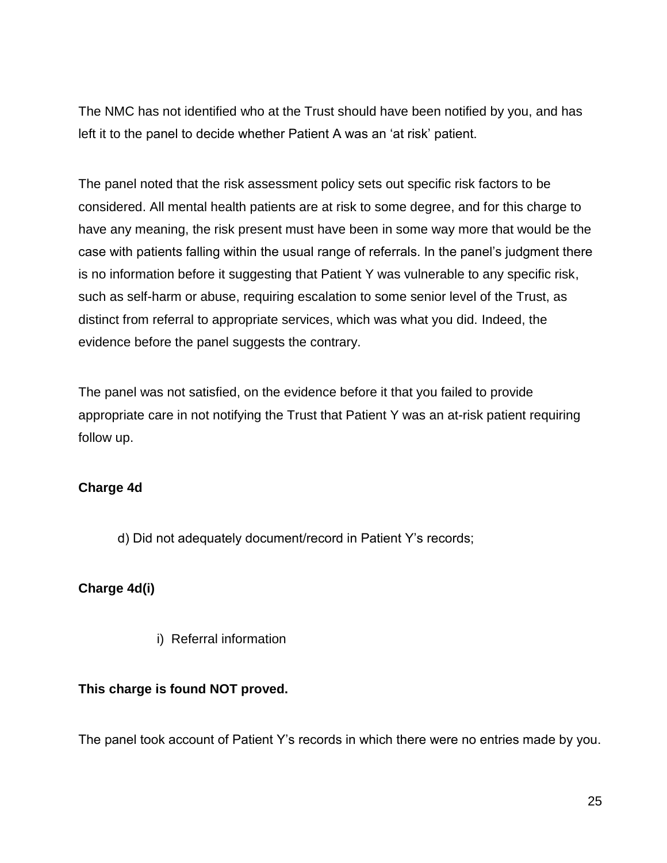The NMC has not identified who at the Trust should have been notified by you, and has left it to the panel to decide whether Patient A was an 'at risk' patient.

The panel noted that the risk assessment policy sets out specific risk factors to be considered. All mental health patients are at risk to some degree, and for this charge to have any meaning, the risk present must have been in some way more that would be the case with patients falling within the usual range of referrals. In the panel's judgment there is no information before it suggesting that Patient Y was vulnerable to any specific risk, such as self-harm or abuse, requiring escalation to some senior level of the Trust, as distinct from referral to appropriate services, which was what you did. Indeed, the evidence before the panel suggests the contrary.

The panel was not satisfied, on the evidence before it that you failed to provide appropriate care in not notifying the Trust that Patient Y was an at-risk patient requiring follow up.

### **Charge 4d**

d) Did not adequately document/record in Patient Y's records;

### **Charge 4d(i)**

i) Referral information

### **This charge is found NOT proved.**

The panel took account of Patient Y's records in which there were no entries made by you.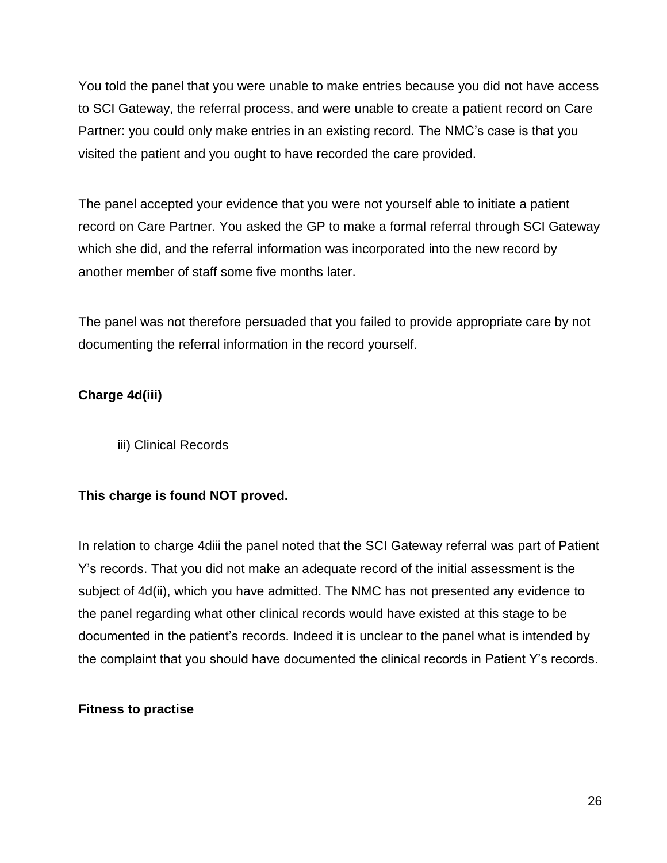You told the panel that you were unable to make entries because you did not have access to SCI Gateway, the referral process, and were unable to create a patient record on Care Partner: you could only make entries in an existing record. The NMC's case is that you visited the patient and you ought to have recorded the care provided.

The panel accepted your evidence that you were not yourself able to initiate a patient record on Care Partner. You asked the GP to make a formal referral through SCI Gateway which she did, and the referral information was incorporated into the new record by another member of staff some five months later.

The panel was not therefore persuaded that you failed to provide appropriate care by not documenting the referral information in the record yourself.

## **Charge 4d(iii)**

iii) Clinical Records

### **This charge is found NOT proved.**

In relation to charge 4diii the panel noted that the SCI Gateway referral was part of Patient Y's records. That you did not make an adequate record of the initial assessment is the subject of 4d(ii), which you have admitted. The NMC has not presented any evidence to the panel regarding what other clinical records would have existed at this stage to be documented in the patient's records. Indeed it is unclear to the panel what is intended by the complaint that you should have documented the clinical records in Patient Y's records.

#### **Fitness to practise**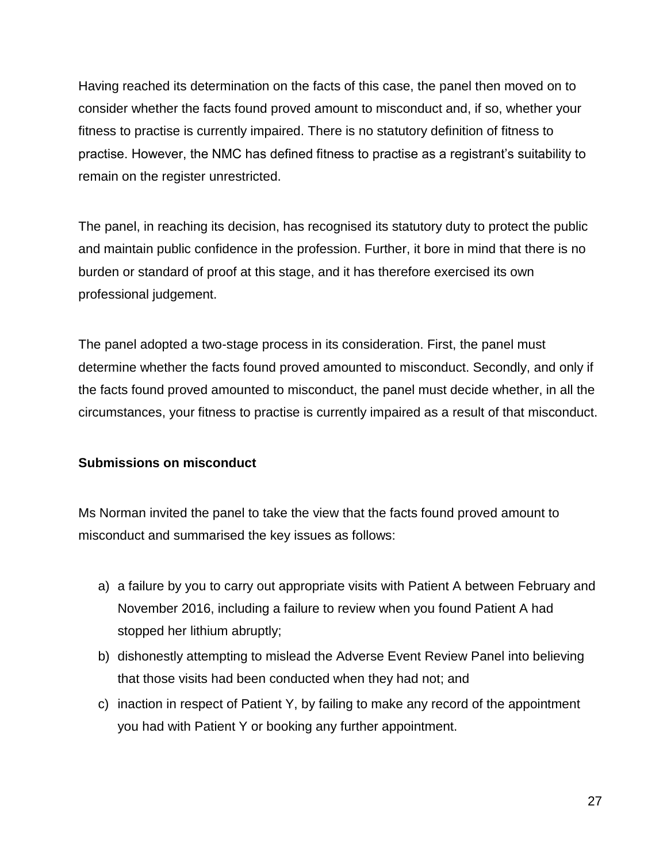Having reached its determination on the facts of this case, the panel then moved on to consider whether the facts found proved amount to misconduct and, if so, whether your fitness to practise is currently impaired. There is no statutory definition of fitness to practise. However, the NMC has defined fitness to practise as a registrant's suitability to remain on the register unrestricted.

The panel, in reaching its decision, has recognised its statutory duty to protect the public and maintain public confidence in the profession. Further, it bore in mind that there is no burden or standard of proof at this stage, and it has therefore exercised its own professional judgement.

The panel adopted a two-stage process in its consideration. First, the panel must determine whether the facts found proved amounted to misconduct. Secondly, and only if the facts found proved amounted to misconduct, the panel must decide whether, in all the circumstances, your fitness to practise is currently impaired as a result of that misconduct.

### **Submissions on misconduct**

Ms Norman invited the panel to take the view that the facts found proved amount to misconduct and summarised the key issues as follows:

- a) a failure by you to carry out appropriate visits with Patient A between February and November 2016, including a failure to review when you found Patient A had stopped her lithium abruptly;
- b) dishonestly attempting to mislead the Adverse Event Review Panel into believing that those visits had been conducted when they had not; and
- c) inaction in respect of Patient Y, by failing to make any record of the appointment you had with Patient Y or booking any further appointment.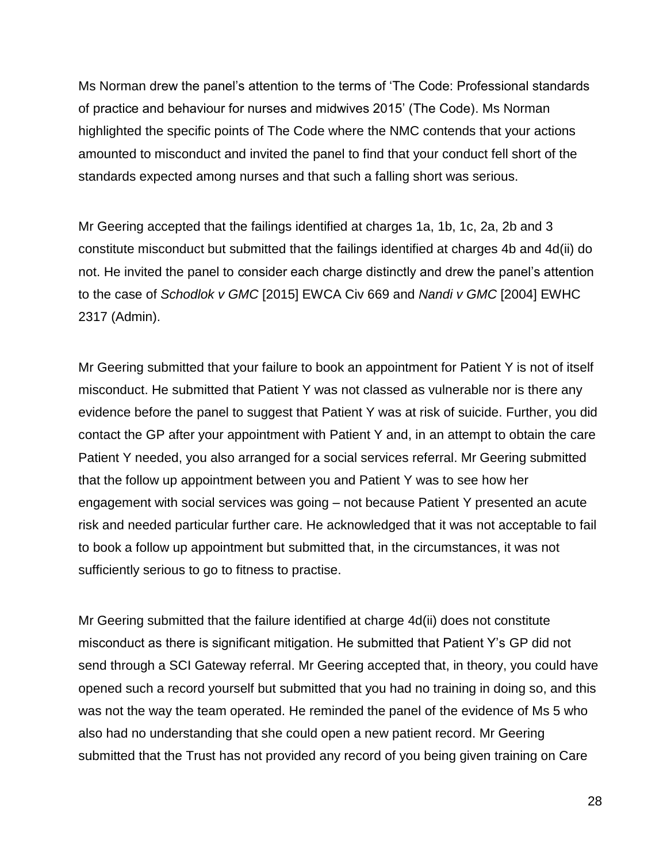Ms Norman drew the panel's attention to the terms of 'The Code: Professional standards of practice and behaviour for nurses and midwives 2015' (The Code). Ms Norman highlighted the specific points of The Code where the NMC contends that your actions amounted to misconduct and invited the panel to find that your conduct fell short of the standards expected among nurses and that such a falling short was serious.

Mr Geering accepted that the failings identified at charges 1a, 1b, 1c, 2a, 2b and 3 constitute misconduct but submitted that the failings identified at charges 4b and 4d(ii) do not. He invited the panel to consider each charge distinctly and drew the panel's attention to the case of *Schodlok v GMC* [2015] EWCA Civ 669 and *Nandi v GMC* [2004] EWHC 2317 (Admin).

Mr Geering submitted that your failure to book an appointment for Patient Y is not of itself misconduct. He submitted that Patient Y was not classed as vulnerable nor is there any evidence before the panel to suggest that Patient Y was at risk of suicide. Further, you did contact the GP after your appointment with Patient Y and, in an attempt to obtain the care Patient Y needed, you also arranged for a social services referral. Mr Geering submitted that the follow up appointment between you and Patient Y was to see how her engagement with social services was going – not because Patient Y presented an acute risk and needed particular further care. He acknowledged that it was not acceptable to fail to book a follow up appointment but submitted that, in the circumstances, it was not sufficiently serious to go to fitness to practise.

Mr Geering submitted that the failure identified at charge 4d(ii) does not constitute misconduct as there is significant mitigation. He submitted that Patient Y's GP did not send through a SCI Gateway referral. Mr Geering accepted that, in theory, you could have opened such a record yourself but submitted that you had no training in doing so, and this was not the way the team operated. He reminded the panel of the evidence of Ms 5 who also had no understanding that she could open a new patient record. Mr Geering submitted that the Trust has not provided any record of you being given training on Care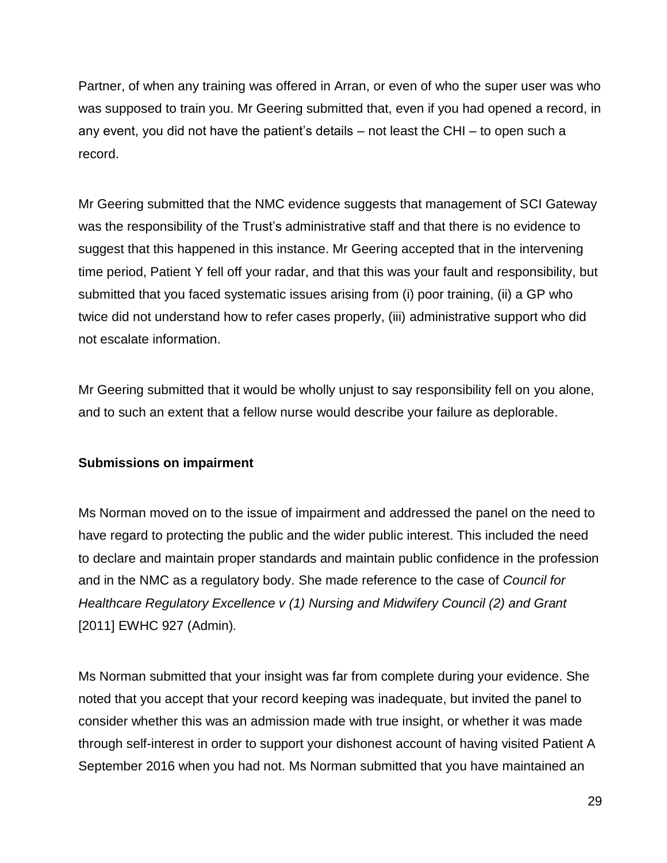Partner, of when any training was offered in Arran, or even of who the super user was who was supposed to train you. Mr Geering submitted that, even if you had opened a record, in any event, you did not have the patient's details – not least the CHI – to open such a record.

Mr Geering submitted that the NMC evidence suggests that management of SCI Gateway was the responsibility of the Trust's administrative staff and that there is no evidence to suggest that this happened in this instance. Mr Geering accepted that in the intervening time period, Patient Y fell off your radar, and that this was your fault and responsibility, but submitted that you faced systematic issues arising from (i) poor training, (ii) a GP who twice did not understand how to refer cases properly, (iii) administrative support who did not escalate information.

Mr Geering submitted that it would be wholly unjust to say responsibility fell on you alone, and to such an extent that a fellow nurse would describe your failure as deplorable.

### **Submissions on impairment**

Ms Norman moved on to the issue of impairment and addressed the panel on the need to have regard to protecting the public and the wider public interest. This included the need to declare and maintain proper standards and maintain public confidence in the profession and in the NMC as a regulatory body. She made reference to the case of *Council for Healthcare Regulatory Excellence v (1) Nursing and Midwifery Council (2) and Grant*  [2011] EWHC 927 (Admin)*.*

Ms Norman submitted that your insight was far from complete during your evidence. She noted that you accept that your record keeping was inadequate, but invited the panel to consider whether this was an admission made with true insight, or whether it was made through self-interest in order to support your dishonest account of having visited Patient A September 2016 when you had not. Ms Norman submitted that you have maintained an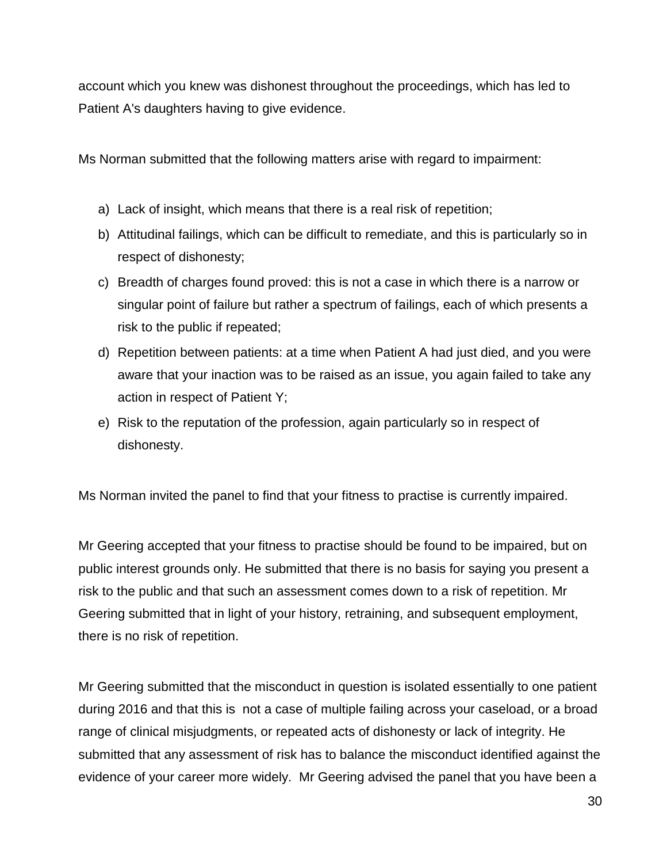account which you knew was dishonest throughout the proceedings, which has led to Patient A's daughters having to give evidence.

Ms Norman submitted that the following matters arise with regard to impairment:

- a) Lack of insight, which means that there is a real risk of repetition;
- b) Attitudinal failings, which can be difficult to remediate, and this is particularly so in respect of dishonesty;
- c) Breadth of charges found proved: this is not a case in which there is a narrow or singular point of failure but rather a spectrum of failings, each of which presents a risk to the public if repeated;
- d) Repetition between patients: at a time when Patient A had just died, and you were aware that your inaction was to be raised as an issue, you again failed to take any action in respect of Patient Y;
- e) Risk to the reputation of the profession, again particularly so in respect of dishonesty.

Ms Norman invited the panel to find that your fitness to practise is currently impaired.

Mr Geering accepted that your fitness to practise should be found to be impaired, but on public interest grounds only. He submitted that there is no basis for saying you present a risk to the public and that such an assessment comes down to a risk of repetition. Mr Geering submitted that in light of your history, retraining, and subsequent employment, there is no risk of repetition.

Mr Geering submitted that the misconduct in question is isolated essentially to one patient during 2016 and that this is not a case of multiple failing across your caseload, or a broad range of clinical misjudgments, or repeated acts of dishonesty or lack of integrity. He submitted that any assessment of risk has to balance the misconduct identified against the evidence of your career more widely. Mr Geering advised the panel that you have been a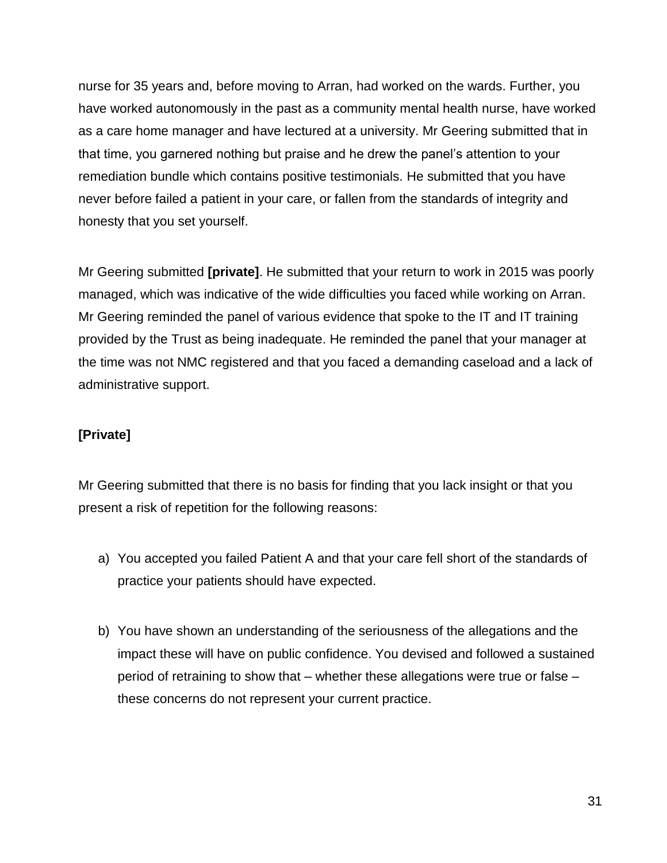nurse for 35 years and, before moving to Arran, had worked on the wards. Further, you have worked autonomously in the past as a community mental health nurse, have worked as a care home manager and have lectured at a university. Mr Geering submitted that in that time, you garnered nothing but praise and he drew the panel's attention to your remediation bundle which contains positive testimonials. He submitted that you have never before failed a patient in your care, or fallen from the standards of integrity and honesty that you set yourself.

Mr Geering submitted **[private]**. He submitted that your return to work in 2015 was poorly managed, which was indicative of the wide difficulties you faced while working on Arran. Mr Geering reminded the panel of various evidence that spoke to the IT and IT training provided by the Trust as being inadequate. He reminded the panel that your manager at the time was not NMC registered and that you faced a demanding caseload and a lack of administrative support.

## **[Private]**

Mr Geering submitted that there is no basis for finding that you lack insight or that you present a risk of repetition for the following reasons:

- a) You accepted you failed Patient A and that your care fell short of the standards of practice your patients should have expected.
- b) You have shown an understanding of the seriousness of the allegations and the impact these will have on public confidence. You devised and followed a sustained period of retraining to show that – whether these allegations were true or false – these concerns do not represent your current practice.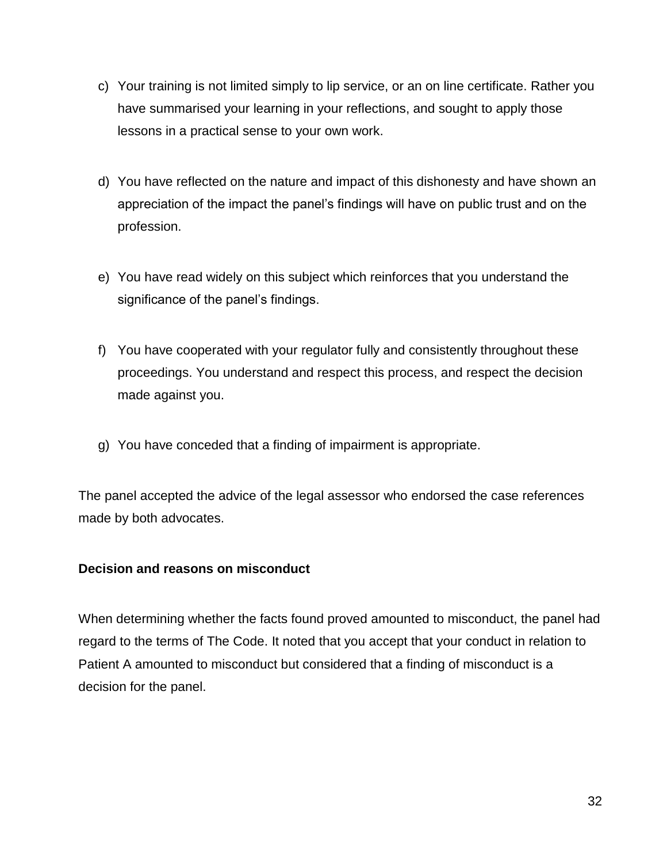- c) Your training is not limited simply to lip service, or an on line certificate. Rather you have summarised your learning in your reflections, and sought to apply those lessons in a practical sense to your own work.
- d) You have reflected on the nature and impact of this dishonesty and have shown an appreciation of the impact the panel's findings will have on public trust and on the profession.
- e) You have read widely on this subject which reinforces that you understand the significance of the panel's findings.
- f) You have cooperated with your regulator fully and consistently throughout these proceedings. You understand and respect this process, and respect the decision made against you.
- g) You have conceded that a finding of impairment is appropriate.

The panel accepted the advice of the legal assessor who endorsed the case references made by both advocates.

### **Decision and reasons on misconduct**

When determining whether the facts found proved amounted to misconduct, the panel had regard to the terms of The Code. It noted that you accept that your conduct in relation to Patient A amounted to misconduct but considered that a finding of misconduct is a decision for the panel.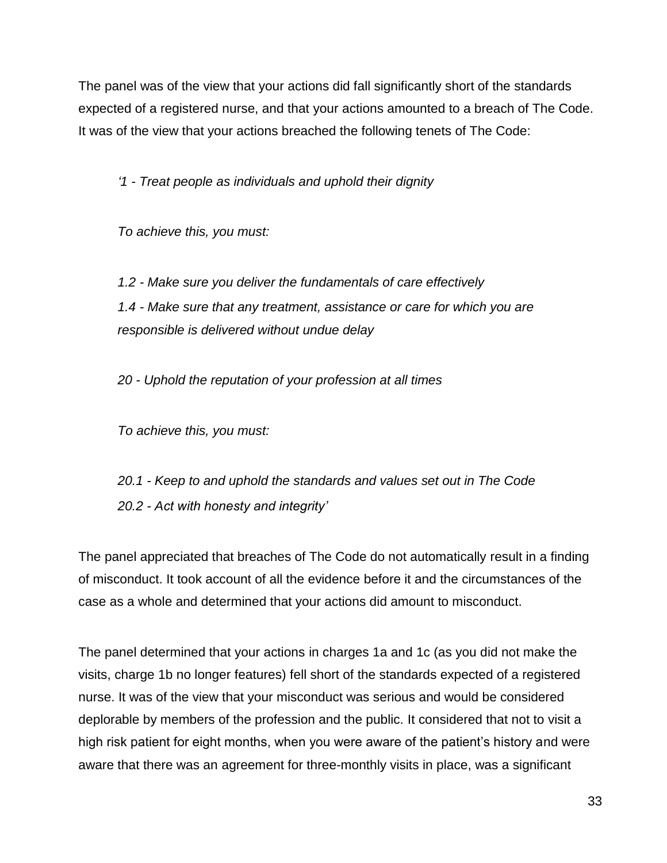The panel was of the view that your actions did fall significantly short of the standards expected of a registered nurse, and that your actions amounted to a breach of The Code. It was of the view that your actions breached the following tenets of The Code:

*'1 - Treat people as individuals and uphold their dignity*

*To achieve this, you must:*

*1.2 - Make sure you deliver the fundamentals of care effectively 1.4 - Make sure that any treatment, assistance or care for which you are responsible is delivered without undue delay*

*20 - Uphold the reputation of your profession at all times*

*To achieve this, you must:*

*20.1 - Keep to and uphold the standards and values set out in The Code 20.2 - Act with honesty and integrity'*

The panel appreciated that breaches of The Code do not automatically result in a finding of misconduct. It took account of all the evidence before it and the circumstances of the case as a whole and determined that your actions did amount to misconduct.

The panel determined that your actions in charges 1a and 1c (as you did not make the visits, charge 1b no longer features) fell short of the standards expected of a registered nurse. It was of the view that your misconduct was serious and would be considered deplorable by members of the profession and the public. It considered that not to visit a high risk patient for eight months, when you were aware of the patient's history and were aware that there was an agreement for three-monthly visits in place, was a significant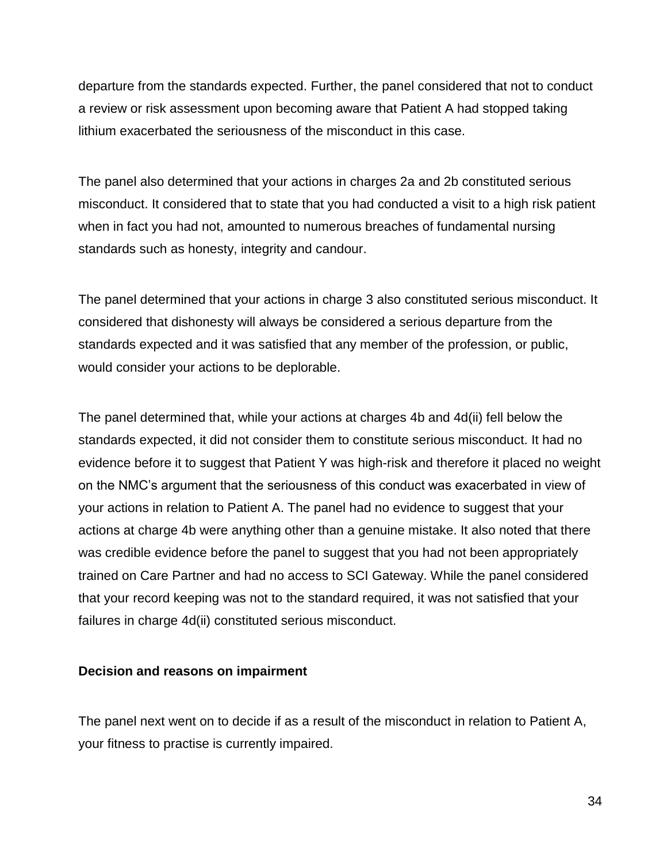departure from the standards expected. Further, the panel considered that not to conduct a review or risk assessment upon becoming aware that Patient A had stopped taking lithium exacerbated the seriousness of the misconduct in this case.

The panel also determined that your actions in charges 2a and 2b constituted serious misconduct. It considered that to state that you had conducted a visit to a high risk patient when in fact you had not, amounted to numerous breaches of fundamental nursing standards such as honesty, integrity and candour.

The panel determined that your actions in charge 3 also constituted serious misconduct. It considered that dishonesty will always be considered a serious departure from the standards expected and it was satisfied that any member of the profession, or public, would consider your actions to be deplorable.

The panel determined that, while your actions at charges 4b and 4d(ii) fell below the standards expected, it did not consider them to constitute serious misconduct. It had no evidence before it to suggest that Patient Y was high-risk and therefore it placed no weight on the NMC's argument that the seriousness of this conduct was exacerbated in view of your actions in relation to Patient A. The panel had no evidence to suggest that your actions at charge 4b were anything other than a genuine mistake. It also noted that there was credible evidence before the panel to suggest that you had not been appropriately trained on Care Partner and had no access to SCI Gateway. While the panel considered that your record keeping was not to the standard required, it was not satisfied that your failures in charge 4d(ii) constituted serious misconduct.

#### **Decision and reasons on impairment**

The panel next went on to decide if as a result of the misconduct in relation to Patient A, your fitness to practise is currently impaired.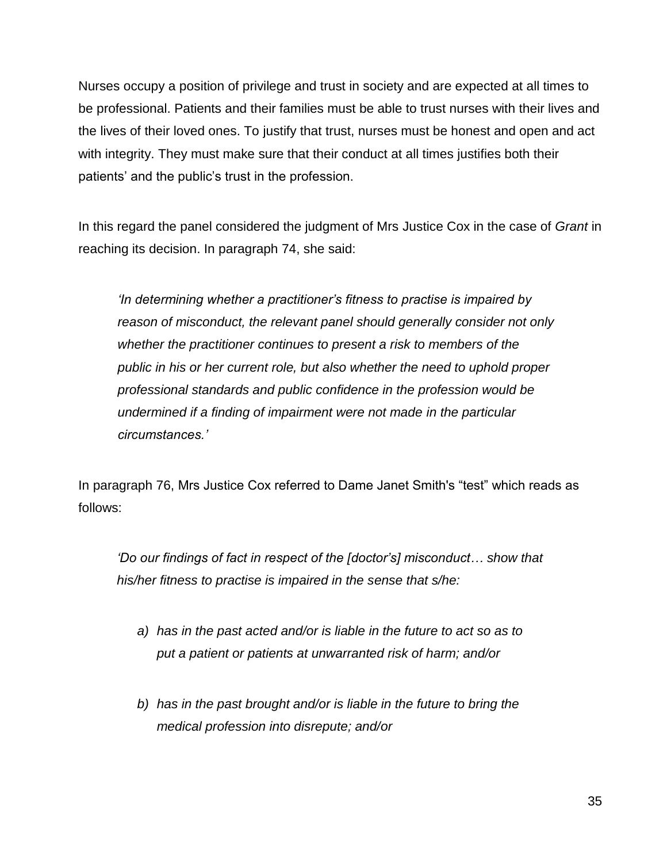Nurses occupy a position of privilege and trust in society and are expected at all times to be professional. Patients and their families must be able to trust nurses with their lives and the lives of their loved ones. To justify that trust, nurses must be honest and open and act with integrity. They must make sure that their conduct at all times justifies both their patients' and the public's trust in the profession.

In this regard the panel considered the judgment of Mrs Justice Cox in the case of *Grant* in reaching its decision. In paragraph 74, she said:

*'In determining whether a practitioner's fitness to practise is impaired by reason of misconduct, the relevant panel should generally consider not only whether the practitioner continues to present a risk to members of the public in his or her current role, but also whether the need to uphold proper professional standards and public confidence in the profession would be undermined if a finding of impairment were not made in the particular circumstances.'*

In paragraph 76, Mrs Justice Cox referred to Dame Janet Smith's "test" which reads as follows:

*'Do our findings of fact in respect of the [doctor's] misconduct… show that his/her fitness to practise is impaired in the sense that s/he:*

- *a) has in the past acted and/or is liable in the future to act so as to put a patient or patients at unwarranted risk of harm; and/or*
- *b) has in the past brought and/or is liable in the future to bring the medical profession into disrepute; and/or*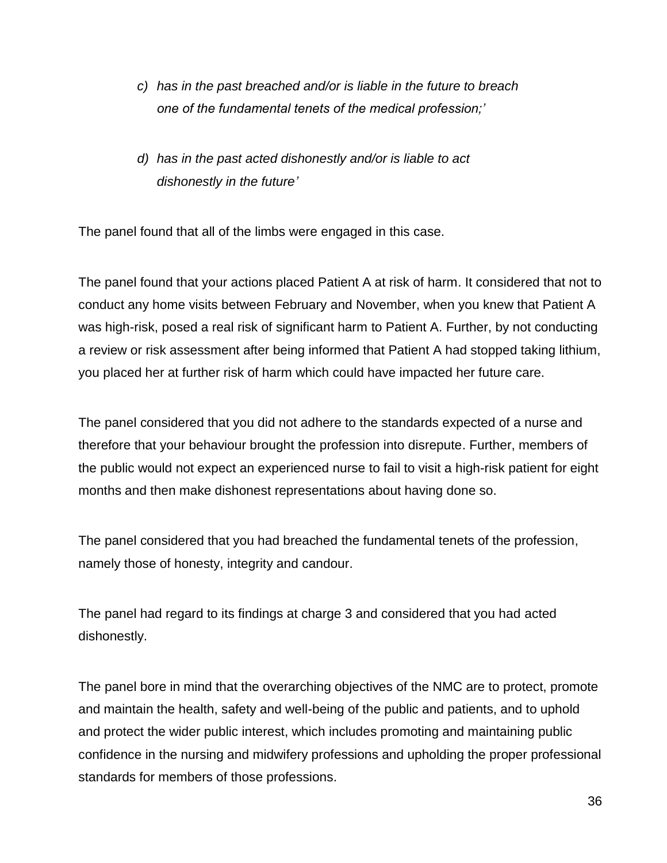*c) has in the past breached and/or is liable in the future to breach one of the fundamental tenets of the medical profession;'*

# *d) has in the past acted dishonestly and/or is liable to act dishonestly in the future'*

The panel found that all of the limbs were engaged in this case.

The panel found that your actions placed Patient A at risk of harm. It considered that not to conduct any home visits between February and November, when you knew that Patient A was high-risk, posed a real risk of significant harm to Patient A. Further, by not conducting a review or risk assessment after being informed that Patient A had stopped taking lithium, you placed her at further risk of harm which could have impacted her future care.

The panel considered that you did not adhere to the standards expected of a nurse and therefore that your behaviour brought the profession into disrepute. Further, members of the public would not expect an experienced nurse to fail to visit a high-risk patient for eight months and then make dishonest representations about having done so.

The panel considered that you had breached the fundamental tenets of the profession, namely those of honesty, integrity and candour.

The panel had regard to its findings at charge 3 and considered that you had acted dishonestly.

The panel bore in mind that the overarching objectives of the NMC are to protect, promote and maintain the health, safety and well-being of the public and patients, and to uphold and protect the wider public interest, which includes promoting and maintaining public confidence in the nursing and midwifery professions and upholding the proper professional standards for members of those professions.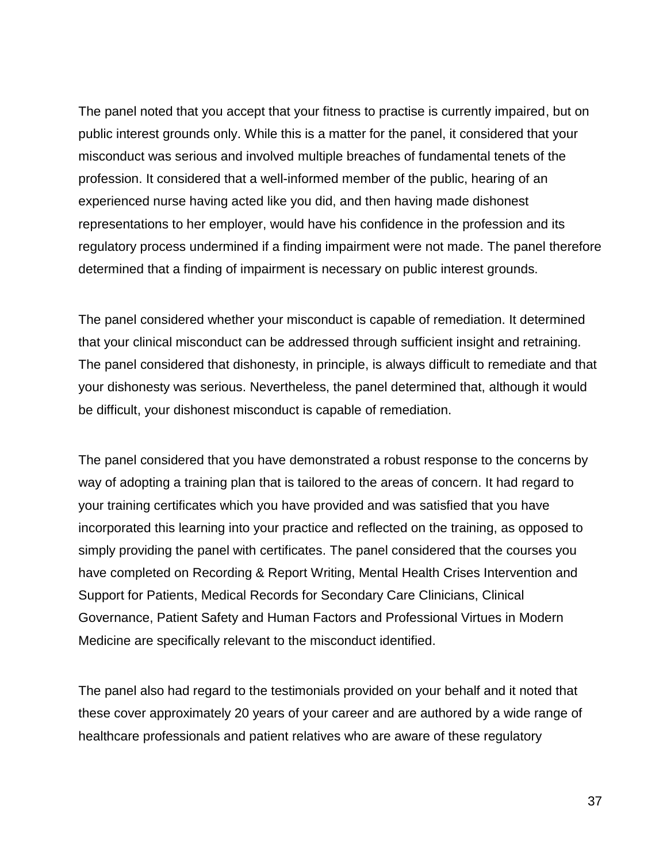The panel noted that you accept that your fitness to practise is currently impaired, but on public interest grounds only. While this is a matter for the panel, it considered that your misconduct was serious and involved multiple breaches of fundamental tenets of the profession. It considered that a well-informed member of the public, hearing of an experienced nurse having acted like you did, and then having made dishonest representations to her employer, would have his confidence in the profession and its regulatory process undermined if a finding impairment were not made. The panel therefore determined that a finding of impairment is necessary on public interest grounds.

The panel considered whether your misconduct is capable of remediation. It determined that your clinical misconduct can be addressed through sufficient insight and retraining. The panel considered that dishonesty, in principle, is always difficult to remediate and that your dishonesty was serious. Nevertheless, the panel determined that, although it would be difficult, your dishonest misconduct is capable of remediation.

The panel considered that you have demonstrated a robust response to the concerns by way of adopting a training plan that is tailored to the areas of concern. It had regard to your training certificates which you have provided and was satisfied that you have incorporated this learning into your practice and reflected on the training, as opposed to simply providing the panel with certificates. The panel considered that the courses you have completed on Recording & Report Writing, Mental Health Crises Intervention and Support for Patients, Medical Records for Secondary Care Clinicians, Clinical Governance, Patient Safety and Human Factors and Professional Virtues in Modern Medicine are specifically relevant to the misconduct identified.

The panel also had regard to the testimonials provided on your behalf and it noted that these cover approximately 20 years of your career and are authored by a wide range of healthcare professionals and patient relatives who are aware of these regulatory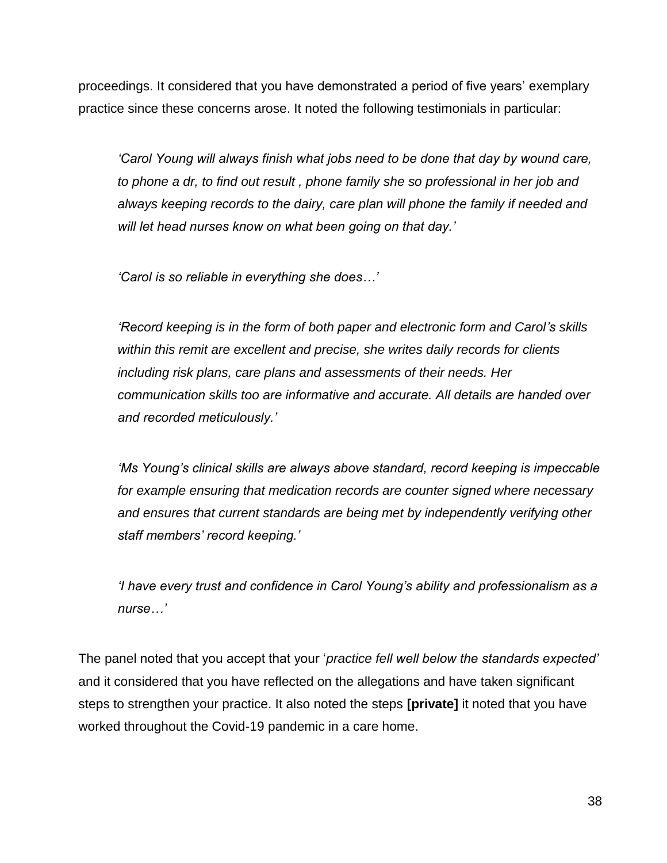proceedings. It considered that you have demonstrated a period of five years' exemplary practice since these concerns arose. It noted the following testimonials in particular:

*'Carol Young will always finish what jobs need to be done that day by wound care, to phone a dr, to find out result , phone family she so professional in her job and always keeping records to the dairy, care plan will phone the family if needed and will let head nurses know on what been going on that day.'*

*'Carol is so reliable in everything she does…'*

*'Record keeping is in the form of both paper and electronic form and Carol's skills within this remit are excellent and precise, she writes daily records for clients including risk plans, care plans and assessments of their needs. Her communication skills too are informative and accurate. All details are handed over and recorded meticulously.'*

*'Ms Young's clinical skills are always above standard, record keeping is impeccable for example ensuring that medication records are counter signed where necessary and ensures that current standards are being met by independently verifying other staff members' record keeping.'*

*'I have every trust and confidence in Carol Young's ability and professionalism as a nurse…'*

The panel noted that you accept that your '*practice fell well below the standards expected'*  and it considered that you have reflected on the allegations and have taken significant steps to strengthen your practice. It also noted the steps **[private]** it noted that you have worked throughout the Covid-19 pandemic in a care home.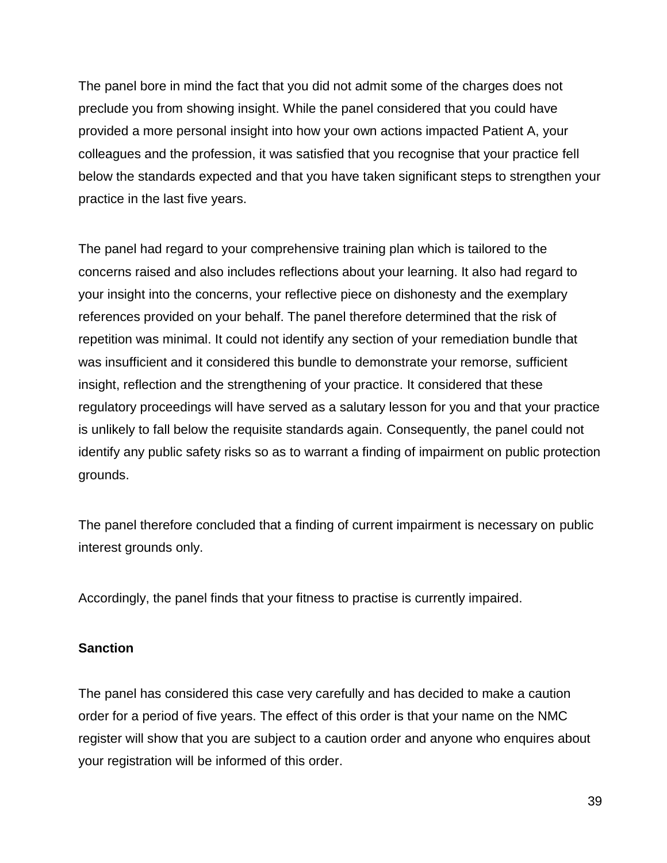The panel bore in mind the fact that you did not admit some of the charges does not preclude you from showing insight. While the panel considered that you could have provided a more personal insight into how your own actions impacted Patient A, your colleagues and the profession, it was satisfied that you recognise that your practice fell below the standards expected and that you have taken significant steps to strengthen your practice in the last five years.

The panel had regard to your comprehensive training plan which is tailored to the concerns raised and also includes reflections about your learning. It also had regard to your insight into the concerns, your reflective piece on dishonesty and the exemplary references provided on your behalf. The panel therefore determined that the risk of repetition was minimal. It could not identify any section of your remediation bundle that was insufficient and it considered this bundle to demonstrate your remorse, sufficient insight, reflection and the strengthening of your practice. It considered that these regulatory proceedings will have served as a salutary lesson for you and that your practice is unlikely to fall below the requisite standards again. Consequently, the panel could not identify any public safety risks so as to warrant a finding of impairment on public protection grounds.

The panel therefore concluded that a finding of current impairment is necessary on public interest grounds only.

Accordingly, the panel finds that your fitness to practise is currently impaired.

### **Sanction**

The panel has considered this case very carefully and has decided to make a caution order for a period of five years. The effect of this order is that your name on the NMC register will show that you are subject to a caution order and anyone who enquires about your registration will be informed of this order.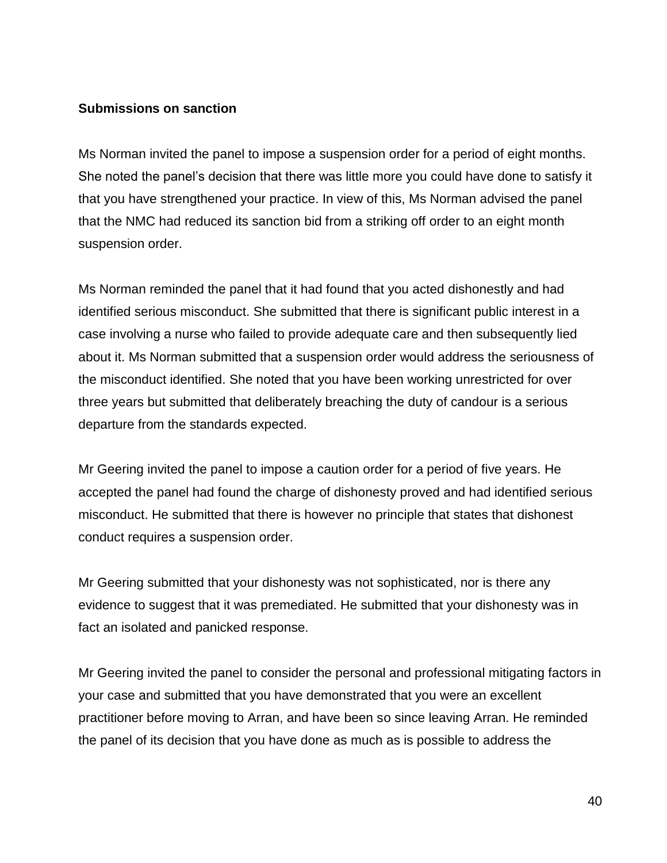#### **Submissions on sanction**

Ms Norman invited the panel to impose a suspension order for a period of eight months. She noted the panel's decision that there was little more you could have done to satisfy it that you have strengthened your practice. In view of this, Ms Norman advised the panel that the NMC had reduced its sanction bid from a striking off order to an eight month suspension order.

Ms Norman reminded the panel that it had found that you acted dishonestly and had identified serious misconduct. She submitted that there is significant public interest in a case involving a nurse who failed to provide adequate care and then subsequently lied about it. Ms Norman submitted that a suspension order would address the seriousness of the misconduct identified. She noted that you have been working unrestricted for over three years but submitted that deliberately breaching the duty of candour is a serious departure from the standards expected.

Mr Geering invited the panel to impose a caution order for a period of five years. He accepted the panel had found the charge of dishonesty proved and had identified serious misconduct. He submitted that there is however no principle that states that dishonest conduct requires a suspension order.

Mr Geering submitted that your dishonesty was not sophisticated, nor is there any evidence to suggest that it was premediated. He submitted that your dishonesty was in fact an isolated and panicked response.

Mr Geering invited the panel to consider the personal and professional mitigating factors in your case and submitted that you have demonstrated that you were an excellent practitioner before moving to Arran, and have been so since leaving Arran. He reminded the panel of its decision that you have done as much as is possible to address the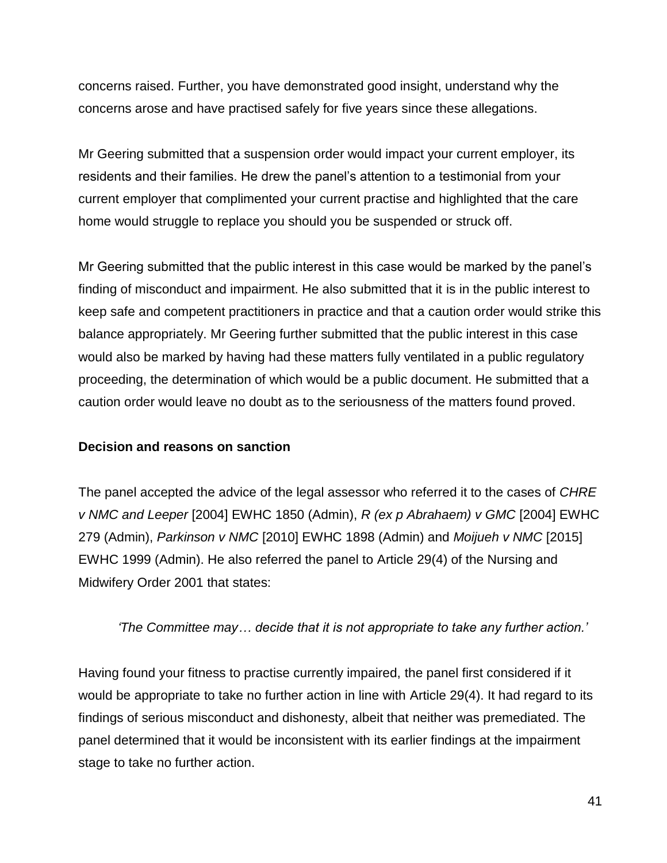concerns raised. Further, you have demonstrated good insight, understand why the concerns arose and have practised safely for five years since these allegations.

Mr Geering submitted that a suspension order would impact your current employer, its residents and their families. He drew the panel's attention to a testimonial from your current employer that complimented your current practise and highlighted that the care home would struggle to replace you should you be suspended or struck off.

Mr Geering submitted that the public interest in this case would be marked by the panel's finding of misconduct and impairment. He also submitted that it is in the public interest to keep safe and competent practitioners in practice and that a caution order would strike this balance appropriately. Mr Geering further submitted that the public interest in this case would also be marked by having had these matters fully ventilated in a public regulatory proceeding, the determination of which would be a public document. He submitted that a caution order would leave no doubt as to the seriousness of the matters found proved.

#### **Decision and reasons on sanction**

The panel accepted the advice of the legal assessor who referred it to the cases of *CHRE v NMC and Leeper* [2004] EWHC 1850 (Admin), *R (ex p Abrahaem) v GMC* [2004] EWHC 279 (Admin), *Parkinson v NMC* [2010] EWHC 1898 (Admin) and *Moijueh v NMC* [2015] EWHC 1999 (Admin). He also referred the panel to Article 29(4) of the Nursing and Midwifery Order 2001 that states:

*'The Committee may… decide that it is not appropriate to take any further action.'*

Having found your fitness to practise currently impaired, the panel first considered if it would be appropriate to take no further action in line with Article 29(4). It had regard to its findings of serious misconduct and dishonesty, albeit that neither was premediated. The panel determined that it would be inconsistent with its earlier findings at the impairment stage to take no further action.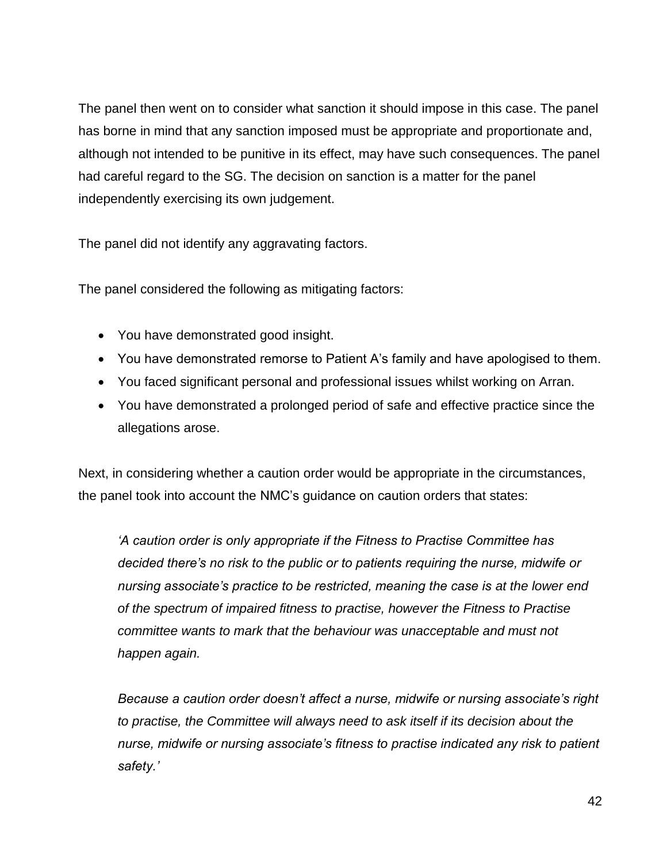The panel then went on to consider what sanction it should impose in this case. The panel has borne in mind that any sanction imposed must be appropriate and proportionate and, although not intended to be punitive in its effect, may have such consequences. The panel had careful regard to the SG. The decision on sanction is a matter for the panel independently exercising its own judgement.

The panel did not identify any aggravating factors.

The panel considered the following as mitigating factors:

- You have demonstrated good insight.
- You have demonstrated remorse to Patient A's family and have apologised to them.
- You faced significant personal and professional issues whilst working on Arran.
- You have demonstrated a prolonged period of safe and effective practice since the allegations arose.

Next, in considering whether a caution order would be appropriate in the circumstances, the panel took into account the NMC's guidance on caution orders that states:

*'A caution order is only appropriate if the Fitness to Practise Committee has decided there's no risk to the public or to patients requiring the nurse, midwife or nursing associate's practice to be restricted, meaning the case is at the lower end of the spectrum of impaired fitness to practise, however the Fitness to Practise committee wants to mark that the behaviour was unacceptable and must not happen again.*

*Because a caution order doesn't affect a nurse, midwife or nursing associate's right to practise, the Committee will always need to ask itself if its decision about the nurse, midwife or nursing associate's fitness to practise indicated any risk to patient safety.'*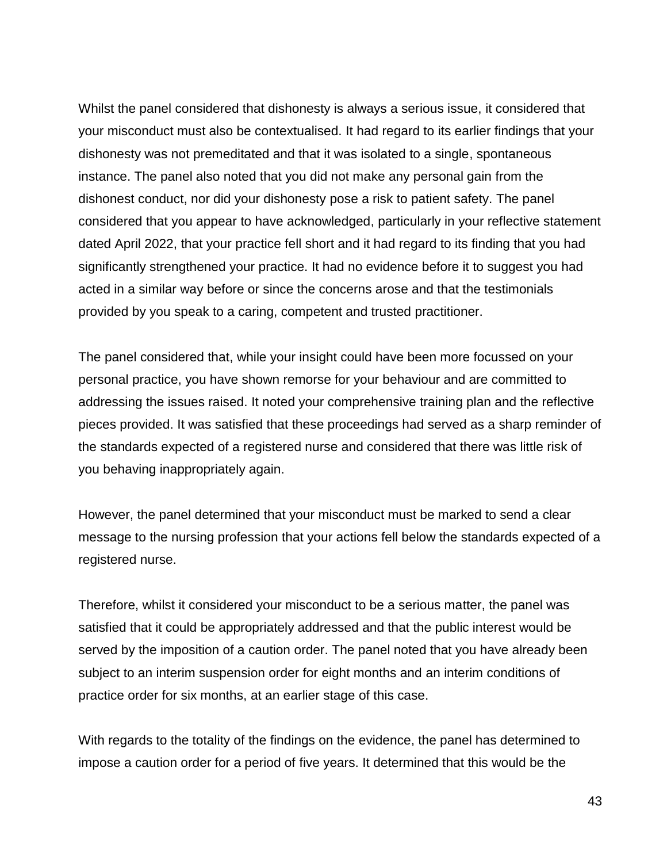Whilst the panel considered that dishonesty is always a serious issue, it considered that your misconduct must also be contextualised. It had regard to its earlier findings that your dishonesty was not premeditated and that it was isolated to a single, spontaneous instance. The panel also noted that you did not make any personal gain from the dishonest conduct, nor did your dishonesty pose a risk to patient safety. The panel considered that you appear to have acknowledged, particularly in your reflective statement dated April 2022, that your practice fell short and it had regard to its finding that you had significantly strengthened your practice. It had no evidence before it to suggest you had acted in a similar way before or since the concerns arose and that the testimonials provided by you speak to a caring, competent and trusted practitioner.

The panel considered that, while your insight could have been more focussed on your personal practice, you have shown remorse for your behaviour and are committed to addressing the issues raised. It noted your comprehensive training plan and the reflective pieces provided. It was satisfied that these proceedings had served as a sharp reminder of the standards expected of a registered nurse and considered that there was little risk of you behaving inappropriately again.

However, the panel determined that your misconduct must be marked to send a clear message to the nursing profession that your actions fell below the standards expected of a registered nurse.

Therefore, whilst it considered your misconduct to be a serious matter, the panel was satisfied that it could be appropriately addressed and that the public interest would be served by the imposition of a caution order. The panel noted that you have already been subject to an interim suspension order for eight months and an interim conditions of practice order for six months, at an earlier stage of this case.

With regards to the totality of the findings on the evidence, the panel has determined to impose a caution order for a period of five years. It determined that this would be the